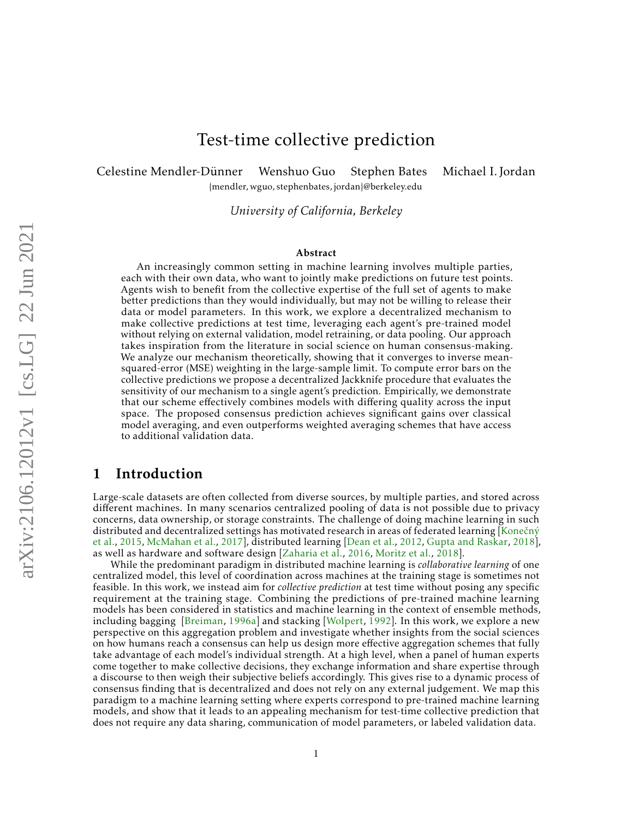# Test-time collective prediction

Celestine Mendler-Dünner Wenshuo Guo Stephen Bates Michael I. Jordan

*University of California, Berkeley*

{mendler, wguo, stephenbates, jordan}@berkeley.edu

#### Abstract

An increasingly common setting in machine learning involves multiple parties, each with their own data, who want to jointly make predictions on future test points. Agents wish to benefit from the collective expertise of the full set of agents to make better predictions than they would individually, but may not be willing to release their data or model parameters. In this work, we explore a decentralized mechanism to make collective predictions at test time, leveraging each agent's pre-trained model without relying on external validation, model retraining, or data pooling. Our approach takes inspiration from the literature in social science on human consensus-making. We analyze our mechanism theoretically, showing that it converges to inverse meansquared-error (MSE) weighting in the large-sample limit. To compute error bars on the collective predictions we propose a decentralized Jackknife procedure that evaluates the sensitivity of our mechanism to a single agent's prediction. Empirically, we demonstrate that our scheme effectively combines models with differing quality across the input space. The proposed consensus prediction achieves significant gains over classical model averaging, and even outperforms weighted averaging schemes that have access to additional validation data.

## 1 Introduction

Large-scale datasets are often collected from diverse sources, by multiple parties, and stored across different machines. In many scenarios centralized pooling of data is not possible due to privacy concerns, data ownership, or storage constraints. The challenge of doing machine learning in such distributed and decentralized settings has motivated research in areas of federated learning [\[Kone](#page-11-0)čný [et al.,](#page-11-0) [2015,](#page-11-0) [McMahan et al.,](#page-11-1) [2017\]](#page-11-1), distributed learning [\[Dean et al.,](#page-10-0) [2012,](#page-10-0) [Gupta and Raskar,](#page-11-2) [2018\]](#page-11-2), as well as hardware and software design [\[Zaharia et al.,](#page-12-0) [2016,](#page-12-0) [Moritz et al.,](#page-12-1) [2018\]](#page-12-1).

While the predominant paradigm in distributed machine learning is *collaborative learning* of one centralized model, this level of coordination across machines at the training stage is sometimes not feasible. In this work, we instead aim for *collective prediction* at test time without posing any specific requirement at the training stage. Combining the predictions of pre-trained machine learning models has been considered in statistics and machine learning in the context of ensemble methods, including bagging [\[Breiman,](#page-10-1) [1996a\]](#page-10-1) and stacking [\[Wolpert,](#page-12-2) [1992\]](#page-12-2). In this work, we explore a new perspective on this aggregation problem and investigate whether insights from the social sciences on how humans reach a consensus can help us design more effective aggregation schemes that fully take advantage of each model's individual strength. At a high level, when a panel of human experts come together to make collective decisions, they exchange information and share expertise through a discourse to then weigh their subjective beliefs accordingly. This gives rise to a dynamic process of consensus finding that is decentralized and does not rely on any external judgement. We map this paradigm to a machine learning setting where experts correspond to pre-trained machine learning models, and show that it leads to an appealing mechanism for test-time collective prediction that does not require any data sharing, communication of model parameters, or labeled validation data.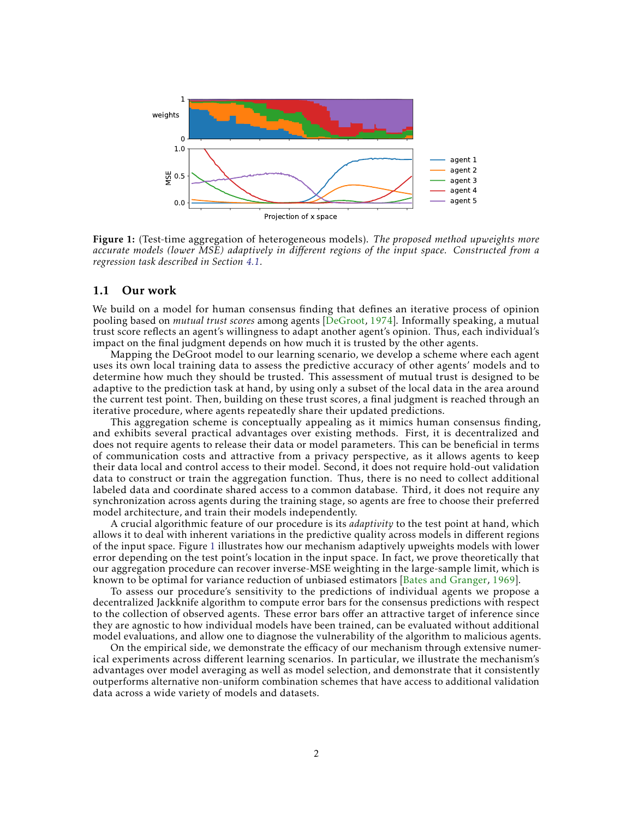<span id="page-1-0"></span>

Figure 1: (Test-time aggregation of heterogeneous models). *The proposed method upweights more accurate models (lower MSE) adaptively in different regions of the input space. Constructed from a regression task described in Section [4.1.](#page-7-0)*

#### 1.1 Our work

We build on a model for human consensus finding that defines an iterative process of opinion pooling based on *mutual trust scores* among agents [\[DeGroot,](#page-11-3) [1974\]](#page-11-3). Informally speaking, a mutual trust score reflects an agent's willingness to adapt another agent's opinion. Thus, each individual's impact on the final judgment depends on how much it is trusted by the other agents.

Mapping the DeGroot model to our learning scenario, we develop a scheme where each agent uses its own local training data to assess the predictive accuracy of other agents' models and to determine how much they should be trusted. This assessment of mutual trust is designed to be adaptive to the prediction task at hand, by using only a subset of the local data in the area around the current test point. Then, building on these trust scores, a final judgment is reached through an iterative procedure, where agents repeatedly share their updated predictions.

This aggregation scheme is conceptually appealing as it mimics human consensus finding, and exhibits several practical advantages over existing methods. First, it is decentralized and does not require agents to release their data or model parameters. This can be beneficial in terms of communication costs and attractive from a privacy perspective, as it allows agents to keep their data local and control access to their model. Second, it does not require hold-out validation data to construct or train the aggregation function. Thus, there is no need to collect additional labeled data and coordinate shared access to a common database. Third, it does not require any synchronization across agents during the training stage, so agents are free to choose their preferred model architecture, and train their models independently.

A crucial algorithmic feature of our procedure is its *adaptivity* to the test point at hand, which allows it to deal with inherent variations in the predictive quality across models in different regions of the input space. Figure [1](#page-1-0) illustrates how our mechanism adaptively upweights models with lower error depending on the test point's location in the input space. In fact, we prove theoretically that our aggregation procedure can recover inverse-MSE weighting in the large-sample limit, which is known to be optimal for variance reduction of unbiased estimators [\[Bates and Granger,](#page-10-2) [1969\]](#page-10-2).

To assess our procedure's sensitivity to the predictions of individual agents we propose a decentralized Jackknife algorithm to compute error bars for the consensus predictions with respect to the collection of observed agents. These error bars offer an attractive target of inference since they are agnostic to how individual models have been trained, can be evaluated without additional model evaluations, and allow one to diagnose the vulnerability of the algorithm to malicious agents.

On the empirical side, we demonstrate the efficacy of our mechanism through extensive numerical experiments across different learning scenarios. In particular, we illustrate the mechanism's advantages over model averaging as well as model selection, and demonstrate that it consistently outperforms alternative non-uniform combination schemes that have access to additional validation data across a wide variety of models and datasets.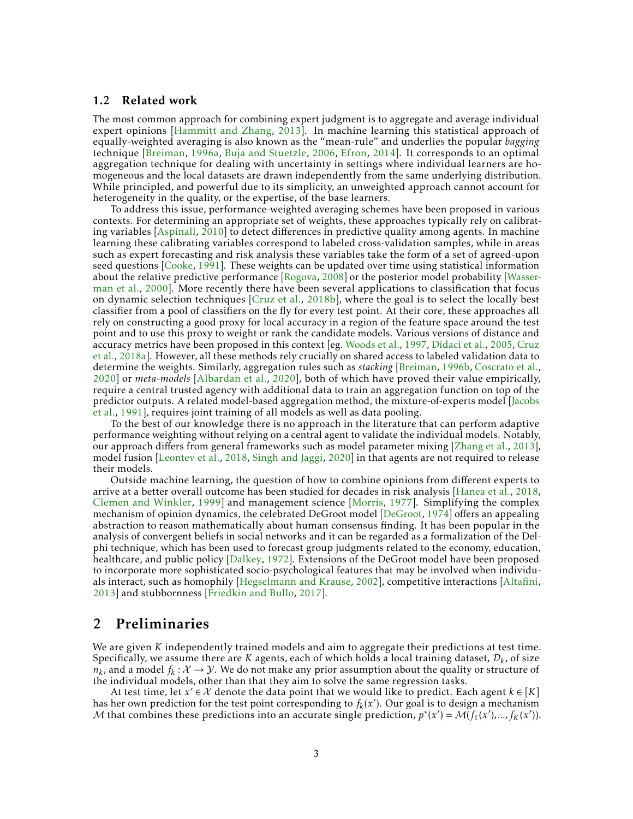#### 1.2 Related work

The most common approach for combining expert judgment is to aggregate and average individual expert opinions [\[Hammitt and Zhang,](#page-11-4) [2013\]](#page-11-4). In machine learning this statistical approach of equally-weighted averaging is also known as the "mean-rule" and underlies the popular *bagging* technique [\[Breiman,](#page-10-1) [1996a,](#page-10-1) [Buja and Stuetzle,](#page-10-3) [2006,](#page-10-3) [Efron,](#page-11-5) [2014\]](#page-11-5). It corresponds to an optimal aggregation technique for dealing with uncertainty in settings where individual learners are homogeneous and the local datasets are drawn independently from the same underlying distribution. While principled, and powerful due to its simplicity, an unweighted approach cannot account for heterogeneity in the quality, or the expertise, of the base learners.

To address this issue, performance-weighted averaging schemes have been proposed in various contexts. For determining an appropriate set of weights, these approaches typically rely on calibrating variables [\[Aspinall,](#page-10-4) [2010\]](#page-10-4) to detect differences in predictive quality among agents. In machine learning these calibrating variables correspond to labeled cross-validation samples, while in areas such as expert forecasting and risk analysis these variables take the form of a set of agreed-upon seed questions [\[Cooke,](#page-10-5) [1991\]](#page-10-5). These weights can be updated over time using statistical information about the relative predictive performance [\[Rogova,](#page-12-3) [2008\]](#page-12-3) or the posterior model probability [\[Wasser](#page-12-4)[man et al.,](#page-12-4) [2000\]](#page-12-4). More recently there have been several applications to classification that focus on dynamic selection techniques [\[Cruz et al.,](#page-10-6) [2018b\]](#page-10-6), where the goal is to select the locally best classifier from a pool of classifiers on the fly for every test point. At their core, these approaches all rely on constructing a good proxy for local accuracy in a region of the feature space around the test point and to use this proxy to weight or rank the candidate models. Various versions of distance and accuracy metrics have been proposed in this context [eg. [Woods et al.,](#page-12-5) [1997,](#page-12-5) [Didaci et al.,](#page-11-6) [2005,](#page-11-6) [Cruz](#page-10-7) [et al.,](#page-10-7) [2018a\]](#page-10-7). However, all these methods rely crucially on shared access to labeled validation data to determine the weights. Similarly, aggregation rules such as *stacking* [\[Breiman,](#page-10-8) [1996b,](#page-10-8) [Coscrato et al.,](#page-10-9) [2020\]](#page-10-9) or *meta-models* [\[Albardan et al.,](#page-10-10) [2020\]](#page-10-10), both of which have proved their value empirically, require a central trusted agency with additional data to train an aggregation function on top of the predictor outputs. A related model-based aggregation method, the mixture-of-experts model [\[Jacobs](#page-11-7) [et al.,](#page-11-7) [1991\]](#page-11-7), requires joint training of all models as well as data pooling.

To the best of our knowledge there is no approach in the literature that can perform adaptive performance weighting without relying on a central agent to validate the individual models. Notably, our approach differs from general frameworks such as model parameter mixing [\[Zhang et al.,](#page-12-6) [2013\]](#page-12-6), model fusion [\[Leontev et al.,](#page-11-8) [2018,](#page-11-8) [Singh and Jaggi,](#page-12-7) [2020\]](#page-12-7) in that agents are not required to release their models.

Outside machine learning, the question of how to combine opinions from different experts to arrive at a better overall outcome has been studied for decades in risk analysis [\[Hanea et al.,](#page-11-9) [2018,](#page-11-9) [Clemen and Winkler,](#page-10-11) [1999\]](#page-10-11) and management science [\[Morris,](#page-12-8) [1977\]](#page-12-8). Simplifying the complex mechanism of opinion dynamics, the celebrated DeGroot model [\[DeGroot,](#page-11-3) [1974\]](#page-11-3) offers an appealing abstraction to reason mathematically about human consensus finding. It has been popular in the analysis of convergent beliefs in social networks and it can be regarded as a formalization of the Delphi technique, which has been used to forecast group judgments related to the economy, education, healthcare, and public policy [\[Dalkey,](#page-10-12) [1972\]](#page-10-12). Extensions of the DeGroot model have been proposed to incorporate more sophisticated socio-psychological features that may be involved when individuals interact, such as homophily [\[Hegselmann and Krause,](#page-11-10) [2002\]](#page-11-10), competitive interactions [\[Altafini,](#page-10-13) [2013\]](#page-10-13) and stubbornness [\[Friedkin and Bullo,](#page-11-11) [2017\]](#page-11-11).

### 2 Preliminaries

We are given *K* independently trained models and aim to aggregate their predictions at test time. Specifically, we assume there are  $K$  agents, each of which holds a local training dataset,  $\mathcal{D}_k$ , of size  $n_k$ , and a model  $f_k: \mathcal{X} \to \mathcal{Y}$ . We do not make any prior assumption about the quality or structure of the individual models, other than that they aim to solve the same regression tasks.

At test time, let  $x' \in \mathcal{X}$  denote the data point that we would like to predict. Each agent  $k \in [K]$ has her own prediction for the test point corresponding to  $f_k(x')$ . Our goal is to design a mechanism M that combines these predictions into an accurate single prediction,  $p^*(x') = M(f_1(x'),..., f_K(x'))$ .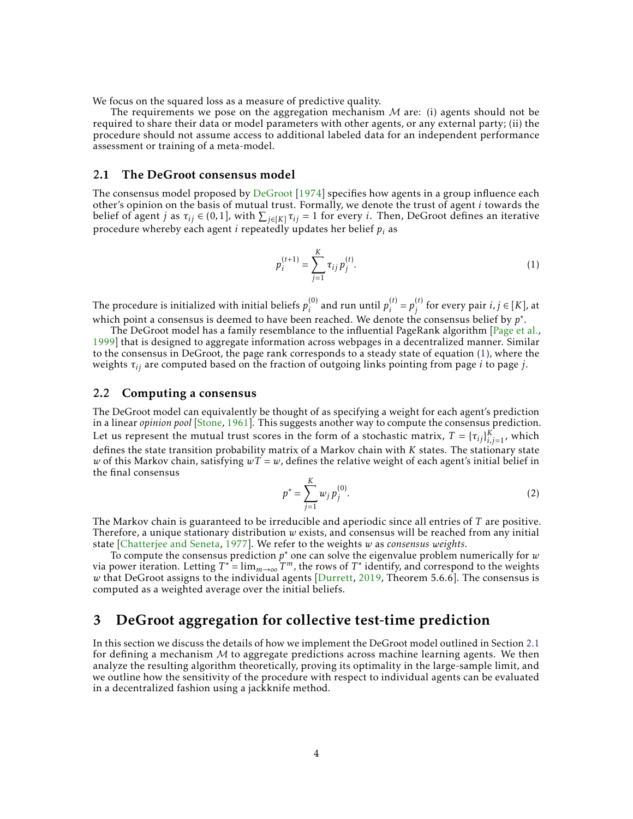We focus on the squared loss as a measure of predictive quality.

The requirements we pose on the aggregation mechanism  $M$  are: (i) agents should not be required to share their data or model parameters with other agents, or any external party; (ii) the procedure should not assume access to additional labeled data for an independent performance assessment or training of a meta-model.

#### <span id="page-3-1"></span>2.1 The DeGroot consensus model

The consensus model proposed by [DeGroot](#page-11-3) [\[1974\]](#page-11-3) specifies how agents in a group influence each other's opinion on the basis of mutual trust. Formally, we denote the trust of agent *i* towards the belief of agent *j* as  $\tau_{ij} \in (0,1]$ , with  $\sum_{j \in [K]} \tau_{ij} = 1$  for every *i*. Then, DeGroot defines an iterative procedure whereby each agent *i* repeatedly updates her belief *p<sup>i</sup>* as

<span id="page-3-0"></span>
$$
p_i^{(t+1)} = \sum_{j=1}^{K} \tau_{ij} p_j^{(t)}.
$$
 (1)

The procedure is initialized with initial beliefs  $p_{i}^{(0)}$  $\hat{p}_i^{(0)}$  and run until  $p_i^{(t)}$  $i^{(t)} = p_j^{(t)}$  $j^{(t)}$  for every pair *i*,  $j \in [K]$ , at which point a consensus is deemed to have been reached. We denote the consensus belief by *p* ∗ .

The DeGroot model has a family resemblance to the influential PageRank algorithm [\[Page et al.,](#page-12-9) [1999\]](#page-12-9) that is designed to aggregate information across webpages in a decentralized manner. Similar to the consensus in DeGroot, the page rank corresponds to a steady state of equation [\(1\)](#page-3-0), where the weights *τij* are computed based on the fraction of outgoing links pointing from page *i* to page *j*.

#### 2.2 Computing a consensus

The DeGroot model can equivalently be thought of as specifying a weight for each agent's prediction in a linear *opinion pool* [\[Stone,](#page-12-10) [1961\]](#page-12-10). This suggests another way to compute the consensus prediction. Let us represent the mutual trust scores in the form of a stochastic matrix,  $T = {\{\tau_{ij}\}}_{i,j=1}^K$ , which defines the state transition probability matrix of a Markov chain with *K* states. The stationary state *w* of this Markov chain, satisfying  $wT = w$ , defines the relative weight of each agent's initial belief in the final consensus

$$
p^* = \sum_{j=1}^K w_j p_j^{(0)}.
$$
 (2)

The Markov chain is guaranteed to be irreducible and aperiodic since all entries of *T* are positive. Therefore, a unique stationary distribution *w* exists, and consensus will be reached from any initial state [\[Chatterjee and Seneta,](#page-10-14) [1977\]](#page-10-14). We refer to the weights *w* as *consensus weights*.

To compute the consensus prediction *p* <sup>∗</sup> one can solve the eigenvalue problem numerically for *w* via power iteration. Letting  $T^* = \lim_{m \to \infty} T^m$ , the rows of  $T^*$  identify, and correspond to the weights *w* that DeGroot assigns to the individual agents [\[Durrett,](#page-11-12) [2019,](#page-11-12) Theorem 5.6.6]. The consensus is computed as a weighted average over the initial beliefs.

## 3 DeGroot aggregation for collective test-time prediction

In this section we discuss the details of how we implement the DeGroot model outlined in Section [2.1](#page-3-1) for defining a mechanism  $M$  to aggregate predictions across machine learning agents. We then analyze the resulting algorithm theoretically, proving its optimality in the large-sample limit, and we outline how the sensitivity of the procedure with respect to individual agents can be evaluated in a decentralized fashion using a jackknife method.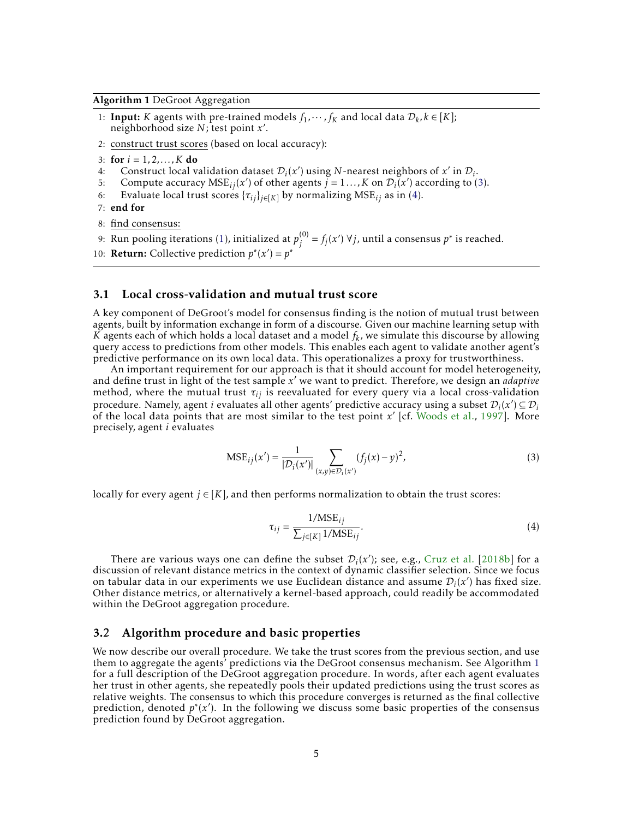#### <span id="page-4-2"></span>Algorithm 1 DeGroot Aggregation

- 1: **Input:** *K* agents with pre-trained models  $f_1, \dots, f_K$  and local data  $D_k, k \in [K]$ ; neighborhood size *N*; test point *x* 0 .
- 2: construct trust scores (based on local accuracy):
- 3: for  $i = 1, 2, ..., K$  do
- 4: Construct local validation dataset  $\mathcal{D}_i(x')$  using *N*-nearest neighbors of *x'* in  $\mathcal{D}_i$ .
- 5: Compute accuracy  $MSE_{ij}(x')$  of other agents  $j = 1...$ , K on  $\mathcal{D}_i(x')$  according to [\(3\)](#page-4-0).
- 6: Evaluate local trust scores  $\{\tau_{ij}\}_{j \in [K]}$  by normalizing MSE<sub>*ij*</sub> as in [\(4\)](#page-4-1).

7: end for

8: find consensus:

9: Run pooling iterations [\(1\)](#page-3-0), initialized at  $p_j^{(0)}$  $j_j^{(0)} = f_j(x')$  ∀*j*, until a consensus  $p^*$  is reached. 10: **Return:** Collective prediction  $p^*(x') = p^*$ 

### 3.1 Local cross-validation and mutual trust score

A key component of DeGroot's model for consensus finding is the notion of mutual trust between agents, built by information exchange in form of a discourse. Given our machine learning setup with *K* agents each of which holds a local dataset and a model *f<sup>k</sup>* , we simulate this discourse by allowing query access to predictions from other models. This enables each agent to validate another agent's predictive performance on its own local data. This operationalizes a proxy for trustworthiness.

An important requirement for our approach is that it should account for model heterogeneity, and define trust in light of the test sample *x'* we want to predict. Therefore, we design an *adaptive* method, where the mutual trust *τij* is reevaluated for every query via a local cross-validation procedure. Namely, agent *i* evaluates all other agents' predictive accuracy using a subset  $\mathcal{D}_i(x') \subseteq \mathcal{D}_i$ of the local data points that are most similar to the test point  $x'$  [cf. [Woods et al.,](#page-12-5) [1997\]](#page-12-5). More precisely, agent *i* evaluates

<span id="page-4-0"></span>
$$
MSE_{ij}(x') = \frac{1}{|\mathcal{D}_i(x')|} \sum_{(x,y) \in \mathcal{D}_i(x')} (f_j(x) - y)^2,
$$
\n(3)

locally for every agent  $j \in [K]$ , and then performs normalization to obtain the trust scores:

<span id="page-4-1"></span>
$$
\tau_{ij} = \frac{1/\text{MSE}_{ij}}{\sum_{j \in [K]} 1/\text{MSE}_{ij}}.\tag{4}
$$

There are various ways one can define the subset  $\mathcal{D}_i(x')$ ; see, e.g., [Cruz et al.](#page-10-6) [\[2018b\]](#page-10-6) for a discussion of relevant distance metrics in the context of dynamic classifier selection. Since we focus on tabular data in our experiments we use Euclidean distance and assume  $\mathcal{D}_i(x')$  has fixed size. Other distance metrics, or alternatively a kernel-based approach, could readily be accommodated within the DeGroot aggregation procedure.

### 3.2 Algorithm procedure and basic properties

We now describe our overall procedure. We take the trust scores from the previous section, and use them to aggregate the agents' predictions via the DeGroot consensus mechanism. See Algorithm [1](#page-4-2) for a full description of the DeGroot aggregation procedure. In words, after each agent evaluates her trust in other agents, she repeatedly pools their updated predictions using the trust scores as relative weights. The consensus to which this procedure converges is returned as the final collective prediction, denoted *p* ∗ (*x* 0 ). In the following we discuss some basic properties of the consensus prediction found by DeGroot aggregation.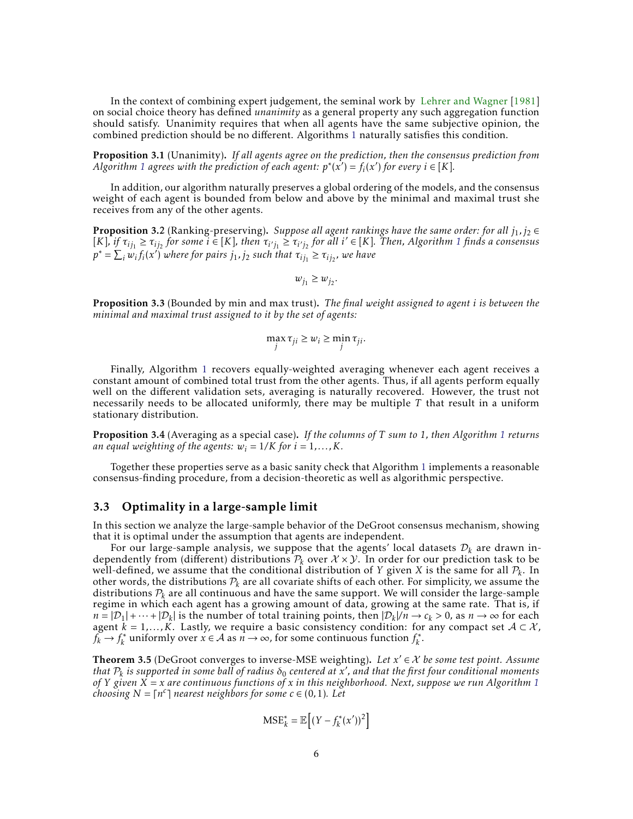In the context of combining expert judgement, the seminal work by [Lehrer and Wagner](#page-11-13) [\[1981\]](#page-11-13) on social choice theory has defined *unanimity* as a general property any such aggregation function should satisfy. Unanimity requires that when all agents have the same subjective opinion, the combined prediction should be no different. Algorithms [1](#page-4-2) naturally satisfies this condition.

<span id="page-5-1"></span>Proposition 3.1 (Unanimity). *If all agents agree on the prediction, then the consensus prediction from Algorithm* [1](#page-4-2) *agrees with the prediction of each agent:*  $p^*(x') = f_i(x')$  *for every*  $i \in [K]$ *.* 

In addition, our algorithm naturally preserves a global ordering of the models, and the consensus weight of each agent is bounded from below and above by the minimal and maximal trust she receives from any of the other agents.

<span id="page-5-2"></span>**Proposition 3.2** (Ranking-preserving). *Suppose all agent rankings have the same order: for all*  $j_1, j_2 \in$  $[K]$ , if  $\tau_{ij_1} \geq \tau_{ij_2}$  $\tau_{ij_1} \geq \tau_{ij_2}$  $\tau_{ij_1} \geq \tau_{ij_2}$  for some  $i \in [K]$ , then  $\tau_{i'j_1} \geq \tau_{i'j_2}$  for all  $i' \in [K]$ . Then, Algorithm 1 finds a consensus  $p^* = \sum_i w_i f_i(x')$  where for pairs  $j_1, j_2$  such that  $\tau_{ij_1} \ge \tau_{ij_2}$ , we have

 $w_{j_1} \geq w_{j_2}$ .

<span id="page-5-3"></span>Proposition 3.3 (Bounded by min and max trust). *The final weight assigned to agent i is between the minimal and maximal trust assigned to it by the set of agents:*

$$
\max_j \tau_{ji} \ge w_i \ge \min_j \tau_{ji}.
$$

Finally, Algorithm [1](#page-4-2) recovers equally-weighted averaging whenever each agent receives a constant amount of combined total trust from the other agents. Thus, if all agents perform equally well on the different validation sets, averaging is naturally recovered. However, the trust not necessarily needs to be allocated uniformly, there may be multiple *T* that result in a uniform stationary distribution.

<span id="page-5-4"></span>Proposition 3.4 (Averaging as a special case). *If the columns of T sum to 1, then Algorithm [1](#page-4-2) returns an equal weighting of the agents:*  $w_i = 1/K$  *for*  $i = 1,...,K$ .

Together these properties serve as a basic sanity check that Algorithm [1](#page-4-2) implements a reasonable consensus-finding procedure, from a decision-theoretic as well as algorithmic perspective.

### 3.3 Optimality in a large-sample limit

In this section we analyze the large-sample behavior of the DeGroot consensus mechanism, showing that it is optimal under the assumption that agents are independent.

For our large-sample analysis, we suppose that the agents' local datasets  $\mathcal{D}_k$  are drawn independently from (different) distributions  $P_k$  over  $X \times Y$ . In order for our prediction task to be well-defined, we assume that the conditional distribution of *Y* given *X* is the same for all  $\mathcal{P}_k$ . In other words, the distributions  $P_k$  are all covariate shifts of each other. For simplicity, we assume the distributions  $P_k$  are all continuous and have the same support. We will consider the large-sample regime in which each agent has a growing amount of data, growing at the same rate. That is, if  $n = |\mathcal{D}_1| + \cdots + |\mathcal{D}_k|$  is the number of total training points, then  $|\mathcal{D}_k|/n \to c_k > 0$ , as  $n \to \infty$  for each agent  $k = 1,...,K$ . Lastly, we require a basic consistency condition: for any compact set  $A \subset \mathcal{X}$ ,  $f_k \rightarrow f_k^*$ <sup>\*</sup>\* uniformly over  $x \in A$  as  $n \to \infty$ , for some continuous function  $f_k^*$ *k* .

<span id="page-5-0"></span>Theorem 3.5 (DeGroot converges to inverse-MSE weighting). Let  $x' \in X$  be some test point. Assume  $t$  *that*  $P_k$  is supported in some ball of radius  $\delta_0$  centered at x', and that the first four conditional moments *of Y given X* = *x are continuous functions of x in this neighborhood. Next, suppose we run Algorithm [1](#page-4-2) choosing*  $N = \lceil n^c \rceil$  nearest neighbors for some  $c \in (0, 1)$ . Let

$$
\text{MSE}_{k}^{*} = \mathbb{E}\left[ (Y - f_{k}^{*}(x'))^{2} \right]
$$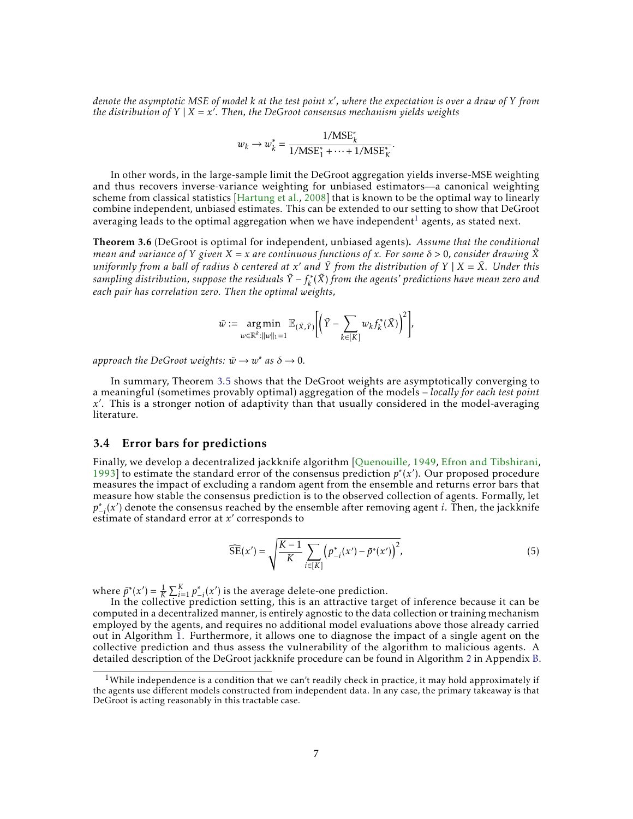*denote the asymptotic MSE of model k at the test point x* 0 *, where the expectation is over a draw of Y from the distribution of Y* | *X* = *x* 0 *. Then, the DeGroot consensus mechanism yields weights*

$$
w_k \rightarrow w_k^* = \frac{1/\text{MSE}_k^*}{1/\text{MSE}_1^* + \dots + 1/\text{MSE}_K^*}
$$

*.*

In other words, in the large-sample limit the DeGroot aggregation yields inverse-MSE weighting and thus recovers inverse-variance weighting for unbiased estimators—a canonical weighting scheme from classical statistics [\[Hartung et al.,](#page-11-14) [2008\]](#page-11-14) that is known to be the optimal way to linearly combine independent, unbiased estimates. This can be extended to our setting to show that DeGroot averaging leads to the optimal aggregation when we have independent<sup>[1](#page-6-0)</sup> agents, as stated next.

<span id="page-6-1"></span>Theorem 3.6 (DeGroot is optimal for independent, unbiased agents). *Assume that the conditional mean and variance of Y* given  $X = x$  are continuous functions of x. For some  $\delta > 0$ , consider drawing  $\tilde{X}$ *uniformly from a ball of radius δ centered at x* <sup>0</sup> *and Y*˜ *from the distribution of Y* | *X* = *X*˜*. Under this sampling distribution, suppose the residuals*  $\tilde{Y} - f_k^*$ *k* (*X*˜) *from the agents' predictions have mean zero and each pair has correlation zero. Then the optimal weights,*

$$
\tilde{w} := \underset{w \in \mathbb{R}^k: ||w||_1 = 1}{\arg \min} \mathbb{E}_{(\tilde{X}, \tilde{Y})} \Biggl[ \Bigl( \tilde{Y} - \sum_{k \in [K]} w_k f_k^*(\tilde{X}) \Bigr)^2 \Biggr],
$$

*approach the DeGroot weights:*  $\tilde{w} \rightarrow w^*$  *as*  $\delta \rightarrow 0$ *.* 

In summary, Theorem [3.5](#page-5-0) shows that the DeGroot weights are asymptotically converging to a meaningful (sometimes provably optimal) aggregation of the models – *locally for each test point* x. This is a stronger notion of adaptivity than that usually considered in the model-averaging literature.

### 3.4 Error bars for predictions

Finally, we develop a decentralized jackknife algorithm [\[Quenouille,](#page-12-11) [1949,](#page-12-11) [Efron and Tibshirani,](#page-11-15) [1993\]](#page-11-15) to estimate the standard error of the consensus prediction *p* ∗ (*x* 0 ). Our proposed procedure measures the impact of excluding a random agent from the ensemble and returns error bars that measure how stable the consensus prediction is to the observed collection of agents. Formally, let  $p_{i}(x')$  denote the consensus reached by the ensemble after removing agent *i*. Then, the jackknife estimate of standard error at  $x'$  corresponds to

<span id="page-6-2"></span>
$$
\widehat{\text{SE}}(x') = \sqrt{\frac{K-1}{K} \sum_{i \in [K]} (p_{-i}^*(x') - \bar{p}^*(x'))^2},\tag{5}
$$

where  $\bar{p}^*(x') = \frac{1}{K} \sum_{i=1}^K p^*_{-i}(x')$  is the average delete-one prediction.

In the collective prediction setting, this is an attractive target of inference because it can be computed in a decentralized manner, is entirely agnostic to the data collection or training mechanism employed by the agents, and requires no additional model evaluations above those already carried out in Algorithm [1.](#page-4-2) Furthermore, it allows one to diagnose the impact of a single agent on the collective prediction and thus assess the vulnerability of the algorithm to malicious agents. A detailed description of the DeGroot jackknife procedure can be found in Algorithm [2](#page-15-0) in Appendix [B.](#page-15-1)

<span id="page-6-0"></span><sup>&</sup>lt;sup>1</sup>While independence is a condition that we can't readily check in practice, it may hold approximately if the agents use different models constructed from independent data. In any case, the primary takeaway is that DeGroot is acting reasonably in this tractable case.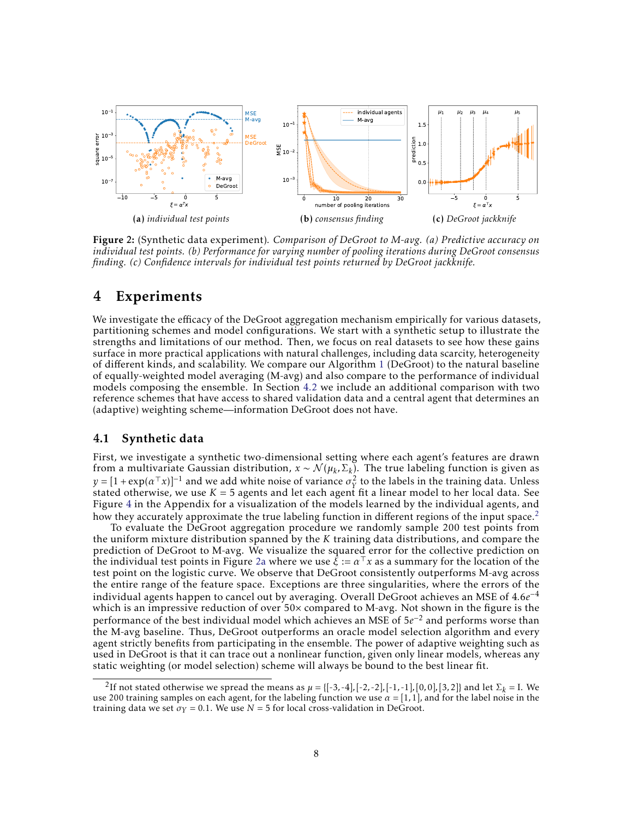<span id="page-7-2"></span>

<span id="page-7-4"></span><span id="page-7-3"></span>Figure 2: (Synthetic data experiment)*. Comparison of DeGroot to M-avg. (a) Predictive accuracy on individual test points. (b) Performance for varying number of pooling iterations during DeGroot consensus finding. (c) Confidence intervals for individual test points returned by DeGroot jackknife.*

## 4 Experiments

We investigate the efficacy of the DeGroot aggregation mechanism empirically for various datasets, partitioning schemes and model configurations. We start with a synthetic setup to illustrate the strengths and limitations of our method. Then, we focus on real datasets to see how these gains surface in more practical applications with natural challenges, including data scarcity, heterogeneity of different kinds, and scalability. We compare our Algorithm [1](#page-4-2) (DeGroot) to the natural baseline of equally-weighted model averaging (M-avg) and also compare to the performance of individual models composing the ensemble. In Section [4.2](#page-8-0) we include an additional comparison with two reference schemes that have access to shared validation data and a central agent that determines an (adaptive) weighting scheme—information DeGroot does not have.

### <span id="page-7-0"></span>4.1 Synthetic data

First, we investigate a synthetic two-dimensional setting where each agent's features are drawn from a multivariate Gaussian distribution,  $x \sim \mathcal{N}(\mu_k, \Sigma_k)$ . The true labeling function is given as  $y = [1 + \exp(\alpha^\top x)]^{-1}$  and we add white noise of variance  $\sigma_Y^2$  to the labels in the training data. Unless stated otherwise, we use  $K = 5$  agents and let each agent fit a linear model to her local data. See Figure [4](#page-17-0) in the Appendix for a visualization of the models learned by the individual agents, and how they accurately approximate the true labeling function in different regions of the input space.<sup>[2](#page-7-1)</sup>

To evaluate the DeGroot aggregation procedure we randomly sample 200 test points from the uniform mixture distribution spanned by the *K* training data distributions, and compare the prediction of DeGroot to M-avg. We visualize the squared error for the collective prediction on the individual test points in Figure [2a](#page-7-2) where we use  $\xi := \alpha^T x$  as a summary for the location of the test point on the logistic curve. We observe that DeGroot consistently outperforms M-avg across the entire range of the feature space. Exceptions are three singularities, where the errors of the individual agents happen to cancel out by averaging. Overall DeGroot achieves an MSE of 4*.*6*e* −4 which is an impressive reduction of over 50× compared to M-avg. Not shown in the figure is the performance of the best individual model which achieves an MSE of 5*e*<sup>-2</sup> and performs worse than the M-avg baseline. Thus, DeGroot outperforms an oracle model selection algorithm and every agent strictly benefits from participating in the ensemble. The power of adaptive weighting such as used in DeGroot is that it can trace out a nonlinear function, given only linear models, whereas any static weighting (or model selection) scheme will always be bound to the best linear fit.

<span id="page-7-1"></span><sup>2</sup>If not stated otherwise we spread the means as  $\mu = \{[-3,-4], [-2,-2], [-1,-1], [0,0], [3,2]\}$  and let  $\Sigma_k = I$ . We use 200 training samples on each agent, for the labeling function we use  $\alpha = [1,1]$ , and for the label noise in the training data we set  $\sigma_Y = 0.1$ . We use  $N = 5$  for local cross-validation in DeGroot.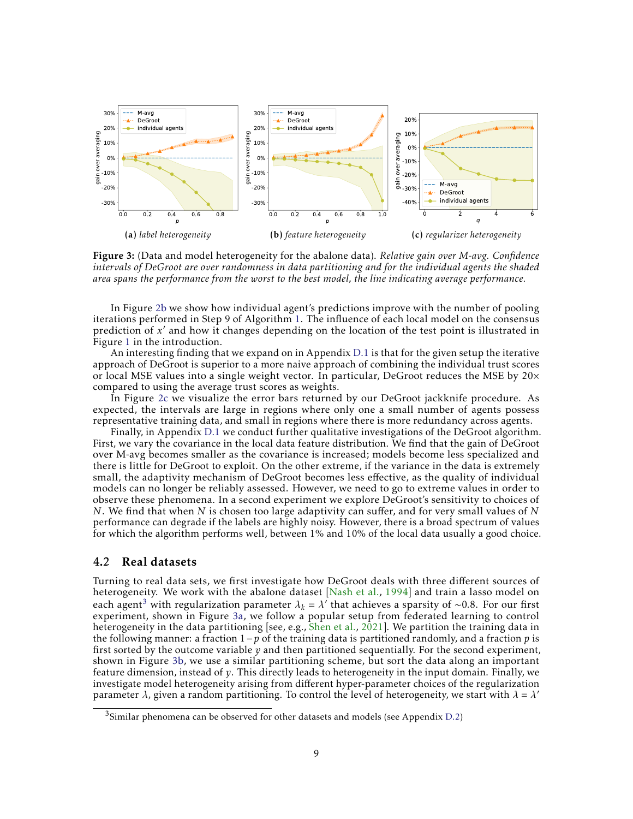<span id="page-8-2"></span>

<span id="page-8-4"></span><span id="page-8-3"></span>Figure 3: (Data and model heterogeneity for the abalone data). *Relative gain over M-avg. Confidence intervals of DeGroot are over randomness in data partitioning and for the individual agents the shaded area spans the performance from the worst to the best model, the line indicating average performance.*

In Figure [2b](#page-7-3) we show how individual agent's predictions improve with the number of pooling iterations performed in Step 9 of Algorithm [1.](#page-4-2) The influence of each local model on the consensus prediction of *x'* and how it changes depending on the location of the test point is illustrated in Figure [1](#page-1-0) in the introduction.

An interesting finding that we expand on in Appendix [D.1](#page-16-0) is that for the given setup the iterative approach of DeGroot is superior to a more naive approach of combining the individual trust scores or local MSE values into a single weight vector. In particular, DeGroot reduces the MSE by  $20\times$ compared to using the average trust scores as weights.

In Figure [2c](#page-7-4) we visualize the error bars returned by our DeGroot jackknife procedure. As expected, the intervals are large in regions where only one a small number of agents possess representative training data, and small in regions where there is more redundancy across agents.

Finally, in Appendix [D.1](#page-16-0) we conduct further qualitative investigations of the DeGroot algorithm. First, we vary the covariance in the local data feature distribution. We find that the gain of DeGroot over M-avg becomes smaller as the covariance is increased; models become less specialized and there is little for DeGroot to exploit. On the other extreme, if the variance in the data is extremely small, the adaptivity mechanism of DeGroot becomes less effective, as the quality of individual models can no longer be reliably assessed. However, we need to go to extreme values in order to observe these phenomena. In a second experiment we explore DeGroot's sensitivity to choices of *N*. We find that when *N* is chosen too large adaptivity can suffer, and for very small values of *N* performance can degrade if the labels are highly noisy. However, there is a broad spectrum of values for which the algorithm performs well, between 1% and 10% of the local data usually a good choice.

### <span id="page-8-0"></span>4.2 Real datasets

Turning to real data sets, we first investigate how DeGroot deals with three different sources of heterogeneity. We work with the abalone dataset [\[Nash et al.,](#page-12-12) [1994\]](#page-12-12) and train a lasso model on each agent<sup>[3](#page-8-1)</sup> with regularization parameter  $\lambda_k = \lambda'$  that achieves a sparsity of ∼0.8. For our first experiment, shown in Figure [3a,](#page-8-2) we follow a popular setup from federated learning to control heterogeneity in the data partitioning [see, e.g., [Shen et al.,](#page-12-13) [2021\]](#page-12-13). We partition the training data in the following manner: a fraction 1−*p* of the training data is partitioned randomly, and a fraction *p* is first sorted by the outcome variable *y* and then partitioned sequentially. For the second experiment, shown in Figure [3b,](#page-8-3) we use a similar partitioning scheme, but sort the data along an important feature dimension, instead of *y*. This directly leads to heterogeneity in the input domain. Finally, we investigate model heterogeneity arising from different hyper-parameter choices of the regularization parameter *λ*, given a random partitioning. To control the level of heterogeneity, we start with *λ* = *λ* 0

<span id="page-8-1"></span> $3$ Similar phenomena can be observed for other datasets and models (see Appendix [D.2\)](#page-19-0)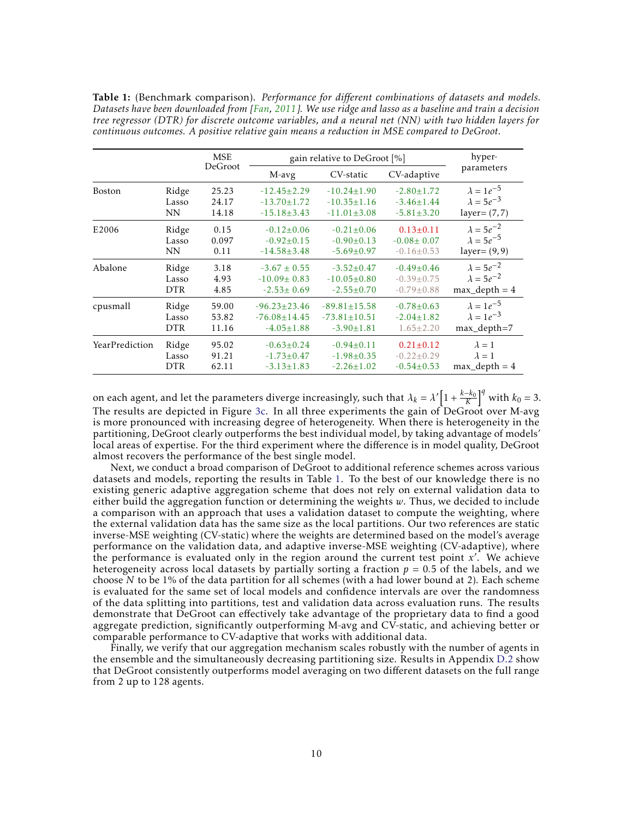<span id="page-9-0"></span>Table 1: (Benchmark comparison). *Performance for different combinations of datasets and models. Datasets have been downloaded from [\[Fan,](#page-11-16) [2011\]](#page-11-16). We use ridge and lasso as a baseline and train a decision tree regressor (DTR) for discrete outcome variables, and a neural net (NN) with two hidden layers for continuous outcomes. A positive relative gain means a reduction in MSE compared to DeGroot.*

|                |            | <b>MSE</b> | gain relative to DeGroot [%] |                    |                  | hyper-              |
|----------------|------------|------------|------------------------------|--------------------|------------------|---------------------|
|                |            | DeGroot    | M-avg                        | CV-static          | CV-adaptive      | parameters          |
| <b>Boston</b>  | Ridge      | 25.23      | $-12.45 \pm 2.29$            | $-10.24 \pm 1.90$  | $-2.80 \pm 1.72$ | $\lambda = 1e^{-5}$ |
|                | Lasso      | 24.17      | $-13.70 \pm 1.72$            | $-10.35 \pm 1.16$  | $-3.46 \pm 1.44$ | $\lambda = 5e^{-3}$ |
|                | <b>NN</b>  | 14.18      | $-15.18 \pm 3.43$            | $-11.01 \pm 3.08$  | $-5.81 \pm 3.20$ | $layer = (7, 7)$    |
| E2006          | Ridge      | 0.15       | $-0.12 \pm 0.06$             | $-0.21 \pm 0.06$   | $0.13 \pm 0.11$  | $\lambda = 5e^{-2}$ |
|                | Lasso      | 0.097      | $-0.92 \pm 0.15$             | $-0.90\pm0.13$     | $-0.08 \pm 0.07$ | $\lambda = 5e^{-5}$ |
|                | <b>NN</b>  | 0.11       | $-14.58 \pm 3.48$            | $-5.69 \pm 0.97$   | $-0.16 \pm 0.53$ | layer = $(9, 9)$    |
| Abalone        | Ridge      | 3.18       | $-3.67 \pm 0.55$             | $-3.52 \pm 0.47$   | $-0.49 \pm 0.46$ | $\lambda = 5e^{-2}$ |
|                | Lasso      | 4.93       | $-10.09 \pm 0.83$            | $-10.05 \pm 0.80$  | $-0.39 \pm 0.75$ | $\lambda = 5e^{-2}$ |
|                | <b>DTR</b> | 4.85       | $-2.53 \pm 0.69$             | $-2.55 \pm 0.70$   | $-0.79 \pm 0.88$ | $max\_depth = 4$    |
| cpusmall       | Ridge      | 59.00      | $-96.23 \pm 23.46$           | $-89.81 \pm 15.58$ | $-0.78 \pm 0.63$ | $\lambda = 1e^{-5}$ |
|                | Lasso      | 53.82      | $-76.08 \pm 14.45$           | $-73.81 \pm 10.51$ | $-2.04 \pm 1.82$ | $\lambda = 1e^{-3}$ |
|                | <b>DTR</b> | 11.16      | $-4.05 \pm 1.88$             | $-3.90 \pm 1.81$   | $1.65 \pm 2.20$  | max_depth=7         |
| YearPrediction | Ridge      | 95.02      | $-0.63 \pm 0.24$             | $-0.94\pm0.11$     | $0.21 \pm 0.12$  | $\lambda = 1$       |
|                | Lasso      | 91.21      | $-1.73 \pm 0.47$             | $-1.98 \pm 0.35$   | $-0.22 \pm 0.29$ | $\lambda = 1$       |
|                | <b>DTR</b> | 62.11      | $-3.13 \pm 1.83$             | $-2.26 \pm 1.02$   | $-0.54 \pm 0.53$ | $max$ depth = 4     |

on each agent, and let the parameters diverge increasingly, such that  $\lambda_k = \lambda' \Big[1 + \frac{k-k_0}{K}\Big]^q$  with  $k_0 = 3$ . The results are depicted in Figure [3c.](#page-8-4) In all three experiments the gain of DeGroot over M-avg is more pronounced with increasing degree of heterogeneity. When there is heterogeneity in the partitioning, DeGroot clearly outperforms the best individual model, by taking advantage of models' local areas of expertise. For the third experiment where the difference is in model quality, DeGroot almost recovers the performance of the best single model.

Next, we conduct a broad comparison of DeGroot to additional reference schemes across various datasets and models, reporting the results in Table [1.](#page-9-0) To the best of our knowledge there is no existing generic adaptive aggregation scheme that does not rely on external validation data to either build the aggregation function or determining the weights *w*. Thus, we decided to include a comparison with an approach that uses a validation dataset to compute the weighting, where the external validation data has the same size as the local partitions. Our two references are static inverse-MSE weighting (CV-static) where the weights are determined based on the model's average performance on the validation data, and adaptive inverse-MSE weighting (CV-adaptive), where the performance is evaluated only in the region around the current test point  $x'$ . We achieve heterogeneity across local datasets by partially sorting a fraction  $p = 0.5$  of the labels, and we choose *N* to be 1% of the data partition for all schemes (with a had lower bound at 2). Each scheme is evaluated for the same set of local models and confidence intervals are over the randomness of the data splitting into partitions, test and validation data across evaluation runs. The results demonstrate that DeGroot can effectively take advantage of the proprietary data to find a good aggregate prediction, significantly outperforming M-avg and CV-static, and achieving better or comparable performance to CV-adaptive that works with additional data.

Finally, we verify that our aggregation mechanism scales robustly with the number of agents in the ensemble and the simultaneously decreasing partitioning size. Results in Appendix [D.2](#page-19-0) show that DeGroot consistently outperforms model averaging on two different datasets on the full range from 2 up to 128 agents.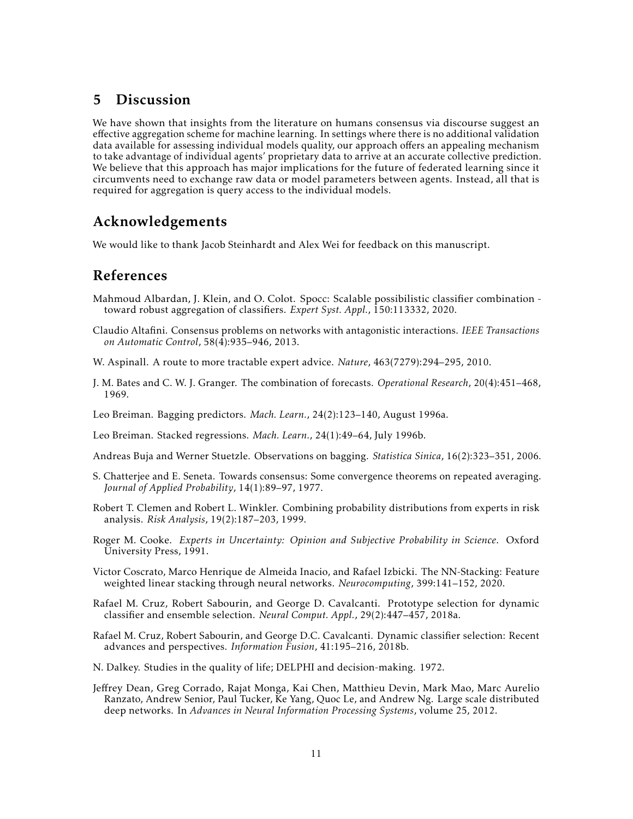## 5 Discussion

We have shown that insights from the literature on humans consensus via discourse suggest an effective aggregation scheme for machine learning. In settings where there is no additional validation data available for assessing individual models quality, our approach offers an appealing mechanism to take advantage of individual agents' proprietary data to arrive at an accurate collective prediction. We believe that this approach has major implications for the future of federated learning since it circumvents need to exchange raw data or model parameters between agents. Instead, all that is required for aggregation is query access to the individual models.

# Acknowledgements

We would like to thank Jacob Steinhardt and Alex Wei for feedback on this manuscript.

## References

- <span id="page-10-10"></span>Mahmoud Albardan, J. Klein, and O. Colot. Spocc: Scalable possibilistic classifier combination toward robust aggregation of classifiers. *Expert Syst. Appl.*, 150:113332, 2020.
- <span id="page-10-13"></span>Claudio Altafini. Consensus problems on networks with antagonistic interactions. *IEEE Transactions on Automatic Control*, 58(4):935–946, 2013.
- <span id="page-10-4"></span>W. Aspinall. A route to more tractable expert advice. *Nature*, 463(7279):294–295, 2010.
- <span id="page-10-2"></span>J. M. Bates and C. W. J. Granger. The combination of forecasts. *Operational Research*, 20(4):451–468, 1969.
- <span id="page-10-1"></span>Leo Breiman. Bagging predictors. *Mach. Learn.*, 24(2):123–140, August 1996a.
- <span id="page-10-8"></span>Leo Breiman. Stacked regressions. *Mach. Learn.*, 24(1):49–64, July 1996b.
- <span id="page-10-3"></span>Andreas Buja and Werner Stuetzle. Observations on bagging. *Statistica Sinica*, 16(2):323–351, 2006.
- <span id="page-10-14"></span>S. Chatterjee and E. Seneta. Towards consensus: Some convergence theorems on repeated averaging. *Journal of Applied Probability*, 14(1):89–97, 1977.
- <span id="page-10-11"></span>Robert T. Clemen and Robert L. Winkler. Combining probability distributions from experts in risk analysis. *Risk Analysis*, 19(2):187–203, 1999.
- <span id="page-10-5"></span>Roger M. Cooke. *Experts in Uncertainty: Opinion and Subjective Probability in Science*. Oxford University Press, 1991.
- <span id="page-10-9"></span>Victor Coscrato, Marco Henrique de Almeida Inacio, and Rafael Izbicki. The NN-Stacking: Feature weighted linear stacking through neural networks. *Neurocomputing*, 399:141–152, 2020.
- <span id="page-10-7"></span>Rafael M. Cruz, Robert Sabourin, and George D. Cavalcanti. Prototype selection for dynamic classifier and ensemble selection. *Neural Comput. Appl.*, 29(2):447–457, 2018a.
- <span id="page-10-6"></span>Rafael M. Cruz, Robert Sabourin, and George D.C. Cavalcanti. Dynamic classifier selection: Recent advances and perspectives. *Information Fusion*, 41:195–216, 2018b.
- <span id="page-10-12"></span>N. Dalkey. Studies in the quality of life; DELPHI and decision-making. 1972.
- <span id="page-10-0"></span>Jeffrey Dean, Greg Corrado, Rajat Monga, Kai Chen, Matthieu Devin, Mark Mao, Marc Aurelio Ranzato, Andrew Senior, Paul Tucker, Ke Yang, Quoc Le, and Andrew Ng. Large scale distributed deep networks. In *Advances in Neural Information Processing Systems*, volume 25, 2012.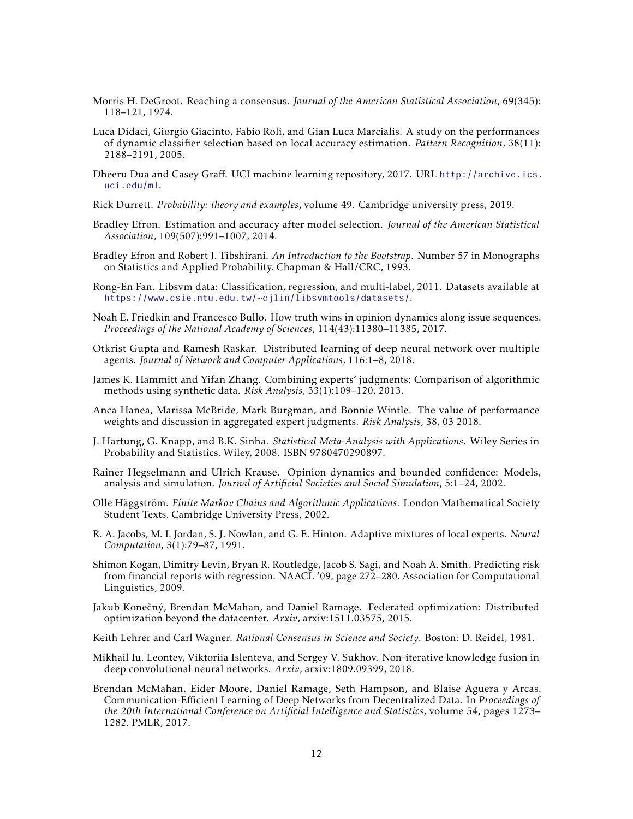- <span id="page-11-3"></span>Morris H. DeGroot. Reaching a consensus. *Journal of the American Statistical Association*, 69(345): 118–121, 1974.
- <span id="page-11-6"></span>Luca Didaci, Giorgio Giacinto, Fabio Roli, and Gian Luca Marcialis. A study on the performances of dynamic classifier selection based on local accuracy estimation. *Pattern Recognition*, 38(11): 2188–2191, 2005.
- <span id="page-11-18"></span>Dheeru Dua and Casey Graff. UCI machine learning repository, 2017. URL [http://archive.ics.](http://archive.ics.uci.edu/ml) [uci.edu/ml](http://archive.ics.uci.edu/ml).
- <span id="page-11-12"></span>Rick Durrett. *Probability: theory and examples*, volume 49. Cambridge university press, 2019.
- <span id="page-11-5"></span>Bradley Efron. Estimation and accuracy after model selection. *Journal of the American Statistical Association*, 109(507):991–1007, 2014.
- <span id="page-11-15"></span>Bradley Efron and Robert J. Tibshirani. *An Introduction to the Bootstrap*. Number 57 in Monographs on Statistics and Applied Probability. Chapman & Hall/CRC, 1993.
- <span id="page-11-16"></span>Rong-En Fan. Libsvm data: Classification, regression, and multi-label, 2011. Datasets available at <https://www.csie.ntu.edu.tw/~cjlin/libsvmtools/datasets/>.
- <span id="page-11-11"></span>Noah E. Friedkin and Francesco Bullo. How truth wins in opinion dynamics along issue sequences. *Proceedings of the National Academy of Sciences*, 114(43):11380–11385, 2017.
- <span id="page-11-2"></span>Otkrist Gupta and Ramesh Raskar. Distributed learning of deep neural network over multiple agents. *Journal of Network and Computer Applications*, 116:1–8, 2018.
- <span id="page-11-4"></span>James K. Hammitt and Yifan Zhang. Combining experts' judgments: Comparison of algorithmic methods using synthetic data. *Risk Analysis*, 33(1):109–120, 2013.
- <span id="page-11-9"></span>Anca Hanea, Marissa McBride, Mark Burgman, and Bonnie Wintle. The value of performance weights and discussion in aggregated expert judgments. *Risk Analysis*, 38, 03 2018.
- <span id="page-11-14"></span>J. Hartung, G. Knapp, and B.K. Sinha. *Statistical Meta-Analysis with Applications*. Wiley Series in Probability and Statistics. Wiley, 2008. ISBN 9780470290897.
- <span id="page-11-10"></span>Rainer Hegselmann and Ulrich Krause. Opinion dynamics and bounded confidence: Models, analysis and simulation. *Journal of Artificial Societies and Social Simulation*, 5:1–24, 2002.
- <span id="page-11-17"></span>Olle Häggström. *Finite Markov Chains and Algorithmic Applications*. London Mathematical Society Student Texts. Cambridge University Press, 2002.
- <span id="page-11-7"></span>R. A. Jacobs, M. I. Jordan, S. J. Nowlan, and G. E. Hinton. Adaptive mixtures of local experts. *Neural Computation*, 3(1):79–87, 1991.
- <span id="page-11-19"></span>Shimon Kogan, Dimitry Levin, Bryan R. Routledge, Jacob S. Sagi, and Noah A. Smith. Predicting risk from financial reports with regression. NAACL '09, page 272–280. Association for Computational Linguistics, 2009.
- <span id="page-11-0"></span>Jakub Konečný, Brendan McMahan, and Daniel Ramage. Federated optimization: Distributed optimization beyond the datacenter. *Arxiv*, arxiv:1511.03575, 2015.
- <span id="page-11-13"></span>Keith Lehrer and Carl Wagner. *Rational Consensus in Science and Society*. Boston: D. Reidel, 1981.
- <span id="page-11-8"></span>Mikhail Iu. Leontev, Viktoriia Islenteva, and Sergey V. Sukhov. Non-iterative knowledge fusion in deep convolutional neural networks. *Arxiv*, arxiv:1809.09399, 2018.
- <span id="page-11-1"></span>Brendan McMahan, Eider Moore, Daniel Ramage, Seth Hampson, and Blaise Aguera y Arcas. Communication-Efficient Learning of Deep Networks from Decentralized Data. In *Proceedings of the 20th International Conference on Artificial Intelligence and Statistics*, volume 54, pages 1273– 1282. PMLR, 2017.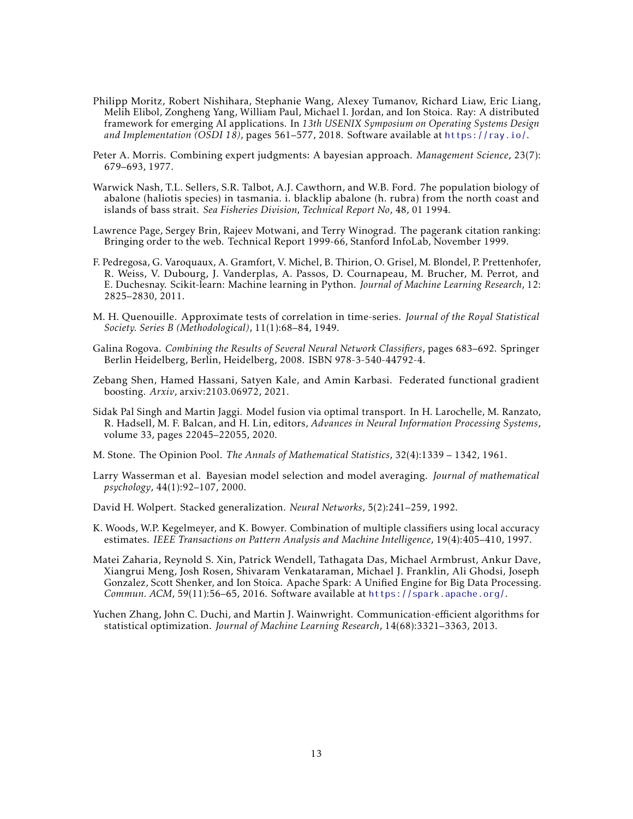- <span id="page-12-1"></span>Philipp Moritz, Robert Nishihara, Stephanie Wang, Alexey Tumanov, Richard Liaw, Eric Liang, Melih Elibol, Zongheng Yang, William Paul, Michael I. Jordan, and Ion Stoica. Ray: A distributed framework for emerging AI applications. In *13th USENIX Symposium on Operating Systems Design and Implementation (OSDI 18)*, pages 561–577, 2018. Software available at <https://ray.io/>.
- <span id="page-12-8"></span>Peter A. Morris. Combining expert judgments: A bayesian approach. *Management Science*, 23(7): 679–693, 1977.
- <span id="page-12-12"></span>Warwick Nash, T.L. Sellers, S.R. Talbot, A.J. Cawthorn, and W.B. Ford. 7he population biology of abalone (haliotis species) in tasmania. i. blacklip abalone (h. rubra) from the north coast and islands of bass strait. *Sea Fisheries Division, Technical Report No*, 48, 01 1994.
- <span id="page-12-9"></span>Lawrence Page, Sergey Brin, Rajeev Motwani, and Terry Winograd. The pagerank citation ranking: Bringing order to the web. Technical Report 1999-66, Stanford InfoLab, November 1999.
- <span id="page-12-14"></span>F. Pedregosa, G. Varoquaux, A. Gramfort, V. Michel, B. Thirion, O. Grisel, M. Blondel, P. Prettenhofer, R. Weiss, V. Dubourg, J. Vanderplas, A. Passos, D. Cournapeau, M. Brucher, M. Perrot, and E. Duchesnay. Scikit-learn: Machine learning in Python. *Journal of Machine Learning Research*, 12: 2825–2830, 2011.
- <span id="page-12-11"></span>M. H. Quenouille. Approximate tests of correlation in time-series. *Journal of the Royal Statistical Society. Series B (Methodological)*, 11(1):68–84, 1949.
- <span id="page-12-3"></span>Galina Rogova. *Combining the Results of Several Neural Network Classifiers*, pages 683–692. Springer Berlin Heidelberg, Berlin, Heidelberg, 2008. ISBN 978-3-540-44792-4.
- <span id="page-12-13"></span>Zebang Shen, Hamed Hassani, Satyen Kale, and Amin Karbasi. Federated functional gradient boosting. *Arxiv*, arxiv:2103.06972, 2021.
- <span id="page-12-7"></span>Sidak Pal Singh and Martin Jaggi. Model fusion via optimal transport. In H. Larochelle, M. Ranzato, R. Hadsell, M. F. Balcan, and H. Lin, editors, *Advances in Neural Information Processing Systems*, volume 33, pages 22045–22055, 2020.
- <span id="page-12-10"></span>M. Stone. The Opinion Pool. *The Annals of Mathematical Statistics*, 32(4):1339 – 1342, 1961.
- <span id="page-12-4"></span>Larry Wasserman et al. Bayesian model selection and model averaging. *Journal of mathematical psychology*, 44(1):92–107, 2000.
- <span id="page-12-2"></span>David H. Wolpert. Stacked generalization. *Neural Networks*, 5(2):241–259, 1992.
- <span id="page-12-5"></span>K. Woods, W.P. Kegelmeyer, and K. Bowyer. Combination of multiple classifiers using local accuracy estimates. *IEEE Transactions on Pattern Analysis and Machine Intelligence*, 19(4):405–410, 1997.
- <span id="page-12-0"></span>Matei Zaharia, Reynold S. Xin, Patrick Wendell, Tathagata Das, Michael Armbrust, Ankur Dave, Xiangrui Meng, Josh Rosen, Shivaram Venkataraman, Michael J. Franklin, Ali Ghodsi, Joseph Gonzalez, Scott Shenker, and Ion Stoica. Apache Spark: A Unified Engine for Big Data Processing. *Commun. ACM*, 59(11):56–65, 2016. Software available at <https://spark.apache.org/>.
- <span id="page-12-6"></span>Yuchen Zhang, John C. Duchi, and Martin J. Wainwright. Communication-efficient algorithms for statistical optimization. *Journal of Machine Learning Research*, 14(68):3321–3363, 2013.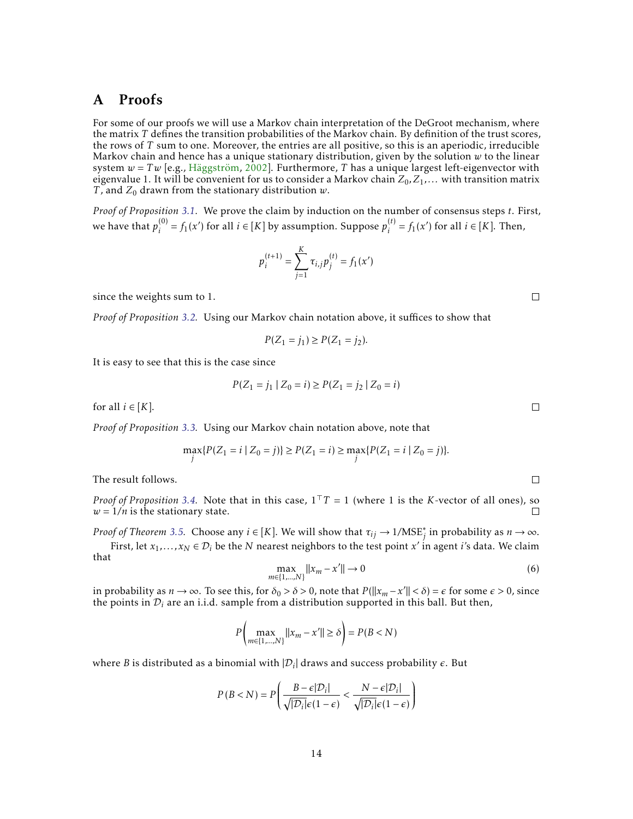## A Proofs

For some of our proofs we will use a Markov chain interpretation of the DeGroot mechanism, where the matrix *T* defines the transition probabilities of the Markov chain. By definition of the trust scores, the rows of *T* sum to one. Moreover, the entries are all positive, so this is an aperiodic, irreducible Markov chain and hence has a unique stationary distribution, given by the solution  $w$  to the linear system  $w = Tw$  [e.g., [Häggström,](#page-11-17) [2002\]](#page-11-17). Furthermore, *T* has a unique largest left-eigenvector with eigenvalue 1. It will be convenient for us to consider a Markov chain  $Z_0, Z_1, \ldots$  with transition matrix *T*, and  $Z_0$  drawn from the stationary distribution  $w$ .

*Proof of Proposition [3.1.](#page-5-1)* We prove the claim by induction on the number of consensus steps *t*. First, we have that  $p_i^{(0)}$  $j_i^{(0)} = f_1(x')$  for all  $i \in [K]$  by assumption. Suppose  $p_i^{(t)}$  $i_j^{(t)} = f_1(x')$  for all  $i \in [K]$ . Then,

$$
p_i^{(t+1)} = \sum_{j=1}^K \tau_{i,j} p_j^{(t)} = f_1(x')
$$

since the weights sum to 1.

*Proof of Proposition [3.2.](#page-5-2)* Using our Markov chain notation above, it suffices to show that

$$
P(Z_1 = j_1) \ge P(Z_1 = j_2).
$$

It is easy to see that this is the case since

$$
P(Z_1 = j_1 \mid Z_0 = i) \ge P(Z_1 = j_2 \mid Z_0 = i)
$$

for all  $i \in [K]$ .

*Proof of Proposition [3.3.](#page-5-3)* Using our Markov chain notation above, note that

$$
\max_{j} \{ P(Z_1 = i \mid Z_0 = j) \} \ge P(Z_1 = i) \ge \max_{j} \{ P(Z_1 = i \mid Z_0 = j) \}.
$$

The result follows.

*Proof of Proposition* [3.4.](#page-5-4) Note that in this case,  $1<sup>T</sup>T = 1$  (where 1 is the *K*-vector of all ones), so  $w = 1/n$  is the stationary state. П

*Proof of Theorem* [3.5.](#page-5-0) Choose any  $i \in [K]$ . We will show that  $\tau_{ij} \to 1/\text{MSE}^*_j$  in probability as  $n \to \infty$ . First, let  $x_1, \ldots, x_N \in \mathcal{D}_i$  be the  $N$  nearest neighbors to the test point  $x'$  in agent *i*'s data. We claim that

<span id="page-13-0"></span>
$$
\max_{m \in \{1, \dots, N\}} ||x_m - x'|| \to 0 \tag{6}
$$

in probability as  $n \to \infty$ . To see this, for  $\delta_0 > \delta > 0$ , note that  $P(||x_m - x'|| < \delta) = \epsilon$  for some  $\epsilon > 0$ , since the points in  $\mathcal{D}_i$  are an i.i.d. sample from a distribution supported in this ball. But then,

$$
P\left(\max_{m\in\{1,\ldots,N\}}||x_m - x'|| \ge \delta\right) = P(B < N)
$$

where *B* is distributed as a binomial with  $|\mathcal{D}_i|$  draws and success probability  $\epsilon$ . But

$$
P(B < N) = P\left(\frac{B - \epsilon |D_i|}{\sqrt{|D_i|} \epsilon (1 - \epsilon)} < \frac{N - \epsilon |D_i|}{\sqrt{|D_i|} \epsilon (1 - \epsilon)}\right)
$$

 $\Box$ 

 $\Box$ 

 $\Box$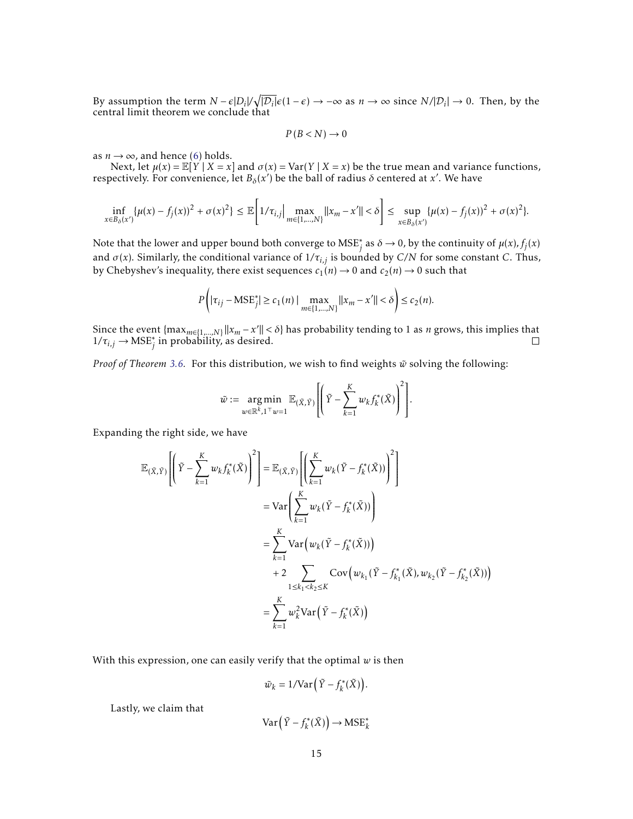By assumption the term  $N - \epsilon |D_i| / \sqrt{|D_i|} \epsilon (1 - \epsilon) \to -\infty$  as  $n \to \infty$  since  $N / |D_i| \to 0$ . Then, by the central limit theorem we conclude that

$$
P(B < N) \to 0
$$

as  $n \rightarrow \infty$ , and hence [\(6\)](#page-13-0) holds.

Next, let  $\mu(x) = \mathbb{E}[Y | X = x]$  and  $\sigma(x) = \text{Var}(Y | X = x)$  be the true mean and variance functions, respectively. For convenience, let  $B_\delta(x')$  be the ball of radius  $\delta$  centered at *x'*. We have

$$
\inf_{x \in B_{\delta}(x')} \{ \mu(x) - f_j(x) \}^2 + \sigma(x)^2 \} \leq \mathbb{E} \bigg[ 1/\tau_{i,j} \bigg| \max_{m \in \{1, \ldots, N\}} ||x_m - x'|| < \delta \bigg] \leq \sup_{x \in B_{\delta}(x')} \{ \mu(x) - f_j(x) \}^2 + \sigma(x)^2 \}.
$$

Note that the lower and upper bound both converge to  $MSE_j^*$  as  $\delta \to 0$ , by the continuity of  $\mu(x)$ ,  $f_j(x)$ and  $\sigma(x)$ . Similarly, the conditional variance of  $1/\tau_{i,j}$  is bounded by *C*/N for some constant *C*. Thus, by Chebyshev's inequality, there exist sequences  $c_1(n) \rightarrow 0$  and  $c_2(n) \rightarrow 0$  such that

$$
P(|\tau_{ij} - \text{MSE}^*_{j}| \ge c_1(n) | \max_{m \in \{1, \dots, N\}} ||x_m - x'|| < \delta
$$
  $\le c_2(n)$ .

Since the event  $\{\max_{m\in\{1,\ldots,N\}}||x_m-x'||<\delta\}$  has probability tending to 1 as *n* grows, this implies that  $1/\tau_{i,j} \rightarrow \text{MSE}_{j}^{*}$  in probability, as desired.

*Proof of Theorem [3.6.](#page-6-1)* For this distribution, we wish to find weights  $\tilde{w}$  solving the following:

$$
\tilde{w} := \underset{w \in \mathbb{R}^k, 1^{\top} w = 1}{\arg \min} \mathbb{E}_{(\tilde{X}, \tilde{Y})} \left[ \left( \tilde{Y} - \sum_{k=1}^{K} w_k f_k^*(\tilde{X}) \right)^2 \right].
$$

Expanding the right side, we have

$$
\mathbb{E}_{(\tilde{X},\tilde{Y})}\left[\left(\tilde{Y}-\sum_{k=1}^{K}w_{k}f_{k}^{*}(\tilde{X})\right)^{2}\right]=\mathbb{E}_{(\tilde{X},\tilde{Y})}\left[\left(\sum_{k=1}^{K}w_{k}(\tilde{Y}-f_{k}^{*}(\tilde{X}))\right)^{2}\right]
$$
\n
$$
=\text{Var}\left(\sum_{k=1}^{K}w_{k}(\tilde{Y}-f_{k}^{*}(\tilde{X}))\right)
$$
\n
$$
=\sum_{k=1}^{K}\text{Var}\left(w_{k}(\tilde{Y}-f_{k}^{*}(\tilde{X}))\right)
$$
\n
$$
+2\sum_{1\leq k_{1}\n
$$
=\sum_{k=1}^{K}w_{k}^{2}\text{Var}\left(\tilde{Y}-f_{k}^{*}(\tilde{X})\right)
$$
$$

With this expression, one can easily verify that the optimal *w* is then

$$
\tilde{w}_k = 1/\text{Var}\left(\tilde{Y} - f_k^*(\tilde{X})\right).
$$

Lastly, we claim that

$$
\operatorname{Var}\left(\tilde{Y} - f_k^*(\tilde{X})\right) \to \operatorname{MSE}_k^*
$$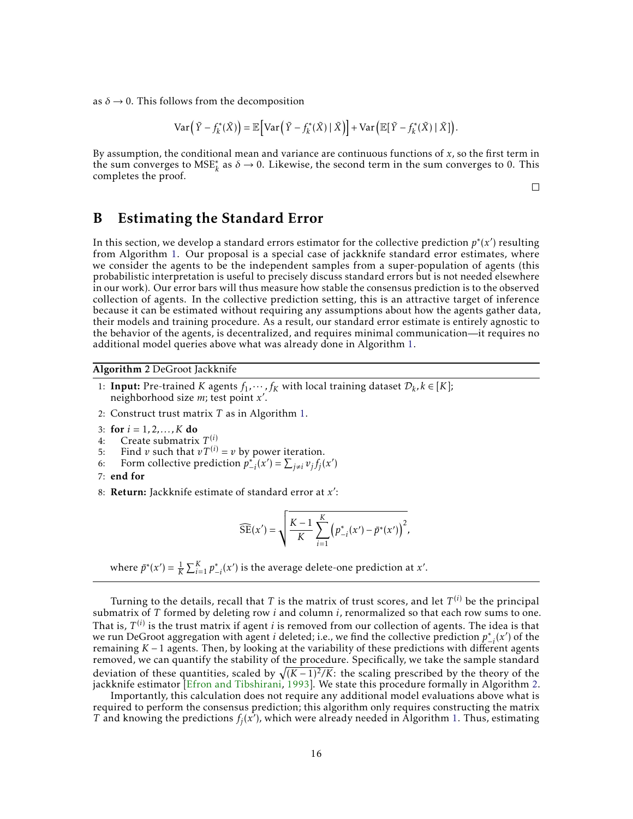as  $\delta \rightarrow 0$ . This follows from the decomposition

$$
\text{Var}\left(\tilde{Y} - f_k^*(\tilde{X})\right) = \mathbb{E}\left[\text{Var}\left(\tilde{Y} - f_k^*(\tilde{X}) \mid \tilde{X}\right)\right] + \text{Var}\left(\mathbb{E}[\tilde{Y} - f_k^*(\tilde{X}) \mid \tilde{X}]\right).
$$

By assumption, the conditional mean and variance are continuous functions of *x*, so the first term in the sum converges to  $MSE^*_{k}$  as  $\delta \to 0$ . Likewise, the second term in the sum converges to 0. This completes the proof.

 $\Box$ 

# <span id="page-15-1"></span>B Estimating the Standard Error

In this section, we develop a standard errors estimator for the collective prediction  $p^*(x')$  resulting from Algorithm [1.](#page-4-2) Our proposal is a special case of jackknife standard error estimates, where we consider the agents to be the independent samples from a super-population of agents (this probabilistic interpretation is useful to precisely discuss standard errors but is not needed elsewhere in our work). Our error bars will thus measure how stable the consensus prediction is to the observed collection of agents. In the collective prediction setting, this is an attractive target of inference because it can be estimated without requiring any assumptions about how the agents gather data, their models and training procedure. As a result, our standard error estimate is entirely agnostic to the behavior of the agents, is decentralized, and requires minimal communication—it requires no additional model queries above what was already done in Algorithm [1.](#page-4-2)

<span id="page-15-0"></span>Algorithm 2 DeGroot Jackknife

- 1: **Input:** Pre-trained *K* agents  $f_1, \dots, f_K$  with local training dataset  $D_k, k \in [K]$ ; neighborhood size *m*; test point *x* .
- 2: Construct trust matrix *T* as in Algorithm [1.](#page-4-2)
- 3: for  $i = 1, 2, ..., K$  do
- 4: Create submatrix  $T^{(i)}$
- 5: Find *v* such that  $vT^{(i)} = v$  by power iteration.
- 6: Form collective prediction  $p_{-i}^*(x') = \sum_{j \neq i} v_j f_j(x')$
- 7: end for
- 8: Return: Jackknife estimate of standard error at *x'*:

$$
\widehat{\text{SE}}(x') = \sqrt{\frac{K-1}{K} \sum_{i=1}^{K} \left( p_{-i}^*(x') - \bar{p}^*(x') \right)^2},
$$

where  $\bar{p}^*(x') = \frac{1}{K} \sum_{i=1}^K p^*_{-i}(x')$  is the average delete-one prediction at *x'*.

Turning to the details, recall that  $T$  is the matrix of trust scores, and let  $T^{(i)}$  be the principal submatrix of *T* formed by deleting row *i* and column *i*, renormalized so that each row sums to one. That is*, T<sup>(i)</sup>* is the trust matrix if agent *i* is removed from our collection of agents. The idea is that we run DeGroot aggregation with agent *i* deleted; i.e., we find the collective prediction  $p_{-i}^*(x')$  of the remaining *K* − 1 agents. Then, by looking at the variability of these predictions with different agents removed, we can quantify the stability of the procedure. Specifically, we take the sample standard deviation of these quantities, scaled by  $\sqrt{(K-1)^2/K}$ : the scaling prescribed by the theory of the jackknife estimator [\[Efron and Tibshirani,](#page-11-15) [1993\]](#page-11-15). We state this procedure formally in Algorithm [2.](#page-15-0)

Importantly, this calculation does not require any additional model evaluations above what is required to perform the consensus prediction; this algorithm only requires constructing the matrix *T* and knowing the predictions  $f_j(x')$ , which were already needed in Algorithm [1.](#page-4-2) Thus, estimating  $T$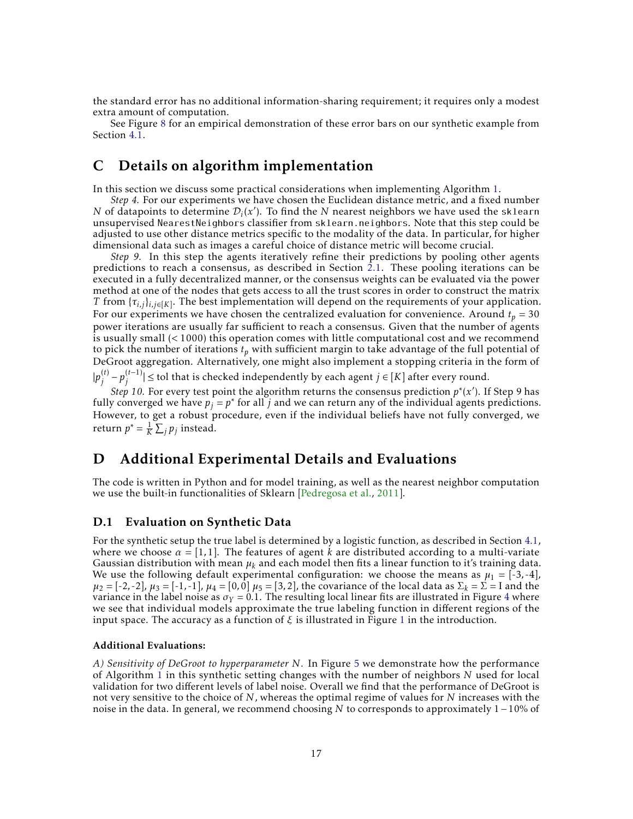the standard error has no additional information-sharing requirement; it requires only a modest extra amount of computation.

See Figure [8](#page-19-1) for an empirical demonstration of these error bars on our synthetic example from Section [4.1.](#page-7-0)

# C Details on algorithm implementation

In this section we discuss some practical considerations when implementing Algorithm [1.](#page-4-2)

*Step 4.* For our experiments we have chosen the Euclidean distance metric, and a fixed number *N* of datapoints to determine  $\mathcal{D}_i(x')$ . To find the *N* nearest neighbors we have used the sklearn unsupervised NearestNeighbors classifier from sklearn.neighbors. Note that this step could be adjusted to use other distance metrics specific to the modality of the data. In particular, for higher dimensional data such as images a careful choice of distance metric will become crucial.

*Step 9.* In this step the agents iteratively refine their predictions by pooling other agents predictions to reach a consensus, as described in Section [2.1.](#page-3-1) These pooling iterations can be executed in a fully decentralized manner, or the consensus weights can be evaluated via the power method at one of the nodes that gets access to all the trust scores in order to construct the matrix *T* from  $\{\tau_{i,j}\}_{i,j\in[K]}$ . The best implementation will depend on the requirements of your application. For our experiments we have chosen the centralized evaluation for convenience. Around  $t_p = 30$ power iterations are usually far sufficient to reach a consensus. Given that the number of agents is usually small (*<* 1000) this operation comes with little computational cost and we recommend to pick the number of iterations *t<sup>p</sup>* with sufficient margin to take advantage of the full potential of DeGroot aggregation. Alternatively, one might also implement a stopping criteria in the form of  $|p_i^{(t)}\>$  $\binom{(t)}{j} - p_j^{(t-1)}$  $|f^{(t-1)}|$  ≤ tol that is checked independently by each agent  $j ∈ [K]$  after every round.

*Step 10.* For every test point the algorithm returns the consensus prediction  $p^*(x')$ . If Step 9 has fully converged we have  $p_j = p^*$  for all *j* and we can return any of the individual agents predictions. However, to get a robust procedure, even if the individual beliefs have not fully converged, we return  $p^* = \frac{1}{K} \sum_j p_j$  instead.

## D Additional Experimental Details and Evaluations

The code is written in Python and for model training, as well as the nearest neighbor computation we use the built-in functionalities of Sklearn [\[Pedregosa et al.,](#page-12-14) [2011\]](#page-12-14).

### <span id="page-16-0"></span>D.1 Evaluation on Synthetic Data

For the synthetic setup the true label is determined by a logistic function, as described in Section [4.1,](#page-7-0) where we choose  $\alpha = [1,1]$ . The features of agent k are distributed according to a multi-variate Gaussian distribution with mean  $\mu_k$  and each model then fits a linear function to it's training data. We use the following default experimental configuration: we choose the means as  $\mu_1 = [-3, -4]$ ,  $\mu_2 = [-2, -2], \mu_3 = [-1, -1], \mu_4 = [0, 0], \mu_5 = [3, 2],$  the covariance of the local data as  $\Sigma_k = \Sigma =$  I and the variance in the label noise as  $\sigma_Y = 0.1$ . The resulting local linear fits are illustrated in Figure [4](#page-17-0) where we see that individual models approximate the true labeling function in different regions of the input space. The accuracy as a function of *ξ* is illustrated in Figure [1](#page-1-0) in the introduction.

#### Additional Evaluations:

*A) Sensitivity of DeGroot to hyperparameter N.* In Figure [5](#page-17-1) we demonstrate how the performance of Algorithm [1](#page-4-2) in this synthetic setting changes with the number of neighbors *N* used for local validation for two different levels of label noise. Overall we find that the performance of DeGroot is not very sensitive to the choice of *N*, whereas the optimal regime of values for *N* increases with the noise in the data. In general, we recommend choosing *N* to corresponds to approximately 1−10% of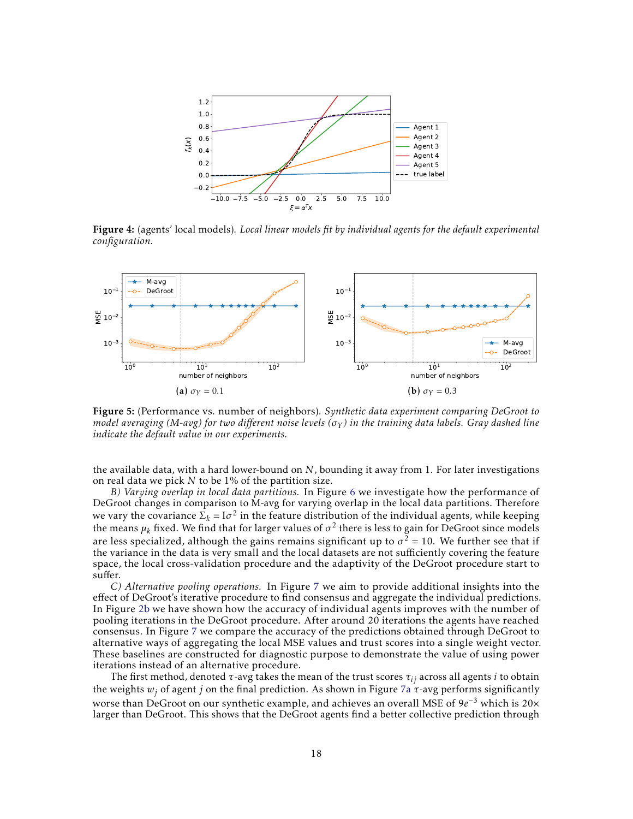<span id="page-17-0"></span>

Figure 4: (agents' local models)*. Local linear models fit by individual agents for the default experimental configuration.*

<span id="page-17-1"></span>

Figure 5: (Performance vs. number of neighbors)*. Synthetic data experiment comparing DeGroot to model averaging (M-avg) for two different noise levels (σ<sup>Y</sup> ) in the training data labels. Gray dashed line indicate the default value in our experiments.*

the available data, with a hard lower-bound on *N*, bounding it away from 1. For later investigations on real data we pick *N* to be 1% of the partition size.

*B) Varying overlap in local data partitions.* In Figure [6](#page-18-0) we investigate how the performance of DeGroot changes in comparison to M-avg for varying overlap in the local data partitions. Therefore we vary the covariance  $\Sigma_k = \text{I}\sigma^2$  in the feature distribution of the individual agents, while keeping the means  $\mu_k$  fixed. We find that for larger values of  $\sigma^2$  there is less to gain for DeGroot since models are less specialized, although the gains remains significant up to  $\sigma^2$  = 10. We further see that if the variance in the data is very small and the local datasets are not sufficiently covering the feature space, the local cross-validation procedure and the adaptivity of the DeGroot procedure start to suffer.

*C) Alternative pooling operations.* In Figure [7](#page-18-1) we aim to provide additional insights into the effect of DeGroot's iterative procedure to find consensus and aggregate the individual predictions. In Figure [2b](#page-7-3) we have shown how the accuracy of individual agents improves with the number of pooling iterations in the DeGroot procedure. After around 20 iterations the agents have reached consensus. In Figure [7](#page-18-1) we compare the accuracy of the predictions obtained through DeGroot to alternative ways of aggregating the local MSE values and trust scores into a single weight vector. These baselines are constructed for diagnostic purpose to demonstrate the value of using power iterations instead of an alternative procedure.

The first method, denoted *τ*-avg takes the mean of the trust scores *τij* across all agents *i* to obtain the weights  $w_i$  of agent *j* on the final prediction. As shown in Figure [7a](#page-18-2)  $\tau$ -avg performs significantly worse than DeGroot on our synthetic example, and achieves an overall MSE of 9e<sup>-3</sup> which is 20× larger than DeGroot. This shows that the DeGroot agents find a better collective prediction through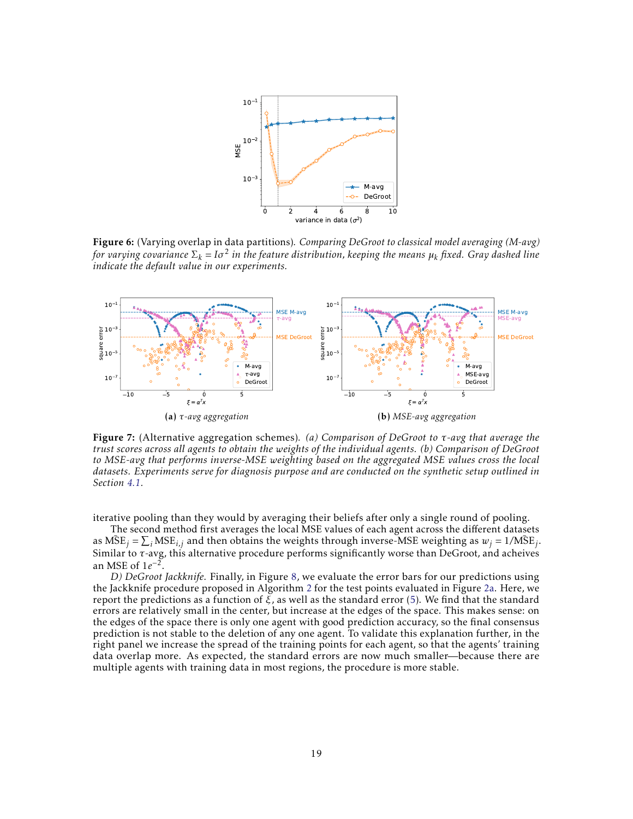<span id="page-18-0"></span>

Figure 6: (Varying overlap in data partitions)*. Comparing DeGroot to classical model averaging (M-avg) for varying covariance* Σ*<sup>k</sup>* = *Iσ* 2 *in the feature distribution, keeping the means µ<sup>k</sup> fixed. Gray dashed line indicate the default value in our experiments.*

<span id="page-18-2"></span><span id="page-18-1"></span>

Figure 7: (Alternative aggregation schemes)*. (a) Comparison of DeGroot to τ-avg that average the trust scores across all agents to obtain the weights of the individual agents. (b) Comparison of DeGroot to MSE-avg that performs inverse-MSE weighting based on the aggregated MSE values cross the local datasets. Experiments serve for diagnosis purpose and are conducted on the synthetic setup outlined in Section [4.1.](#page-7-0)*

iterative pooling than they would by averaging their beliefs after only a single round of pooling.

The second method first averages the local MSE values of each agent across the different datasets as  $\overline{\text{MSE}}_j = \sum_i \text{MSE}_{i,j}$  and then obtains the weights through inverse-MSE weighting as  $w_j = 1/\overline{\text{MSE}}_j$ . Similar to *τ*-avg, this alternative procedure performs significantly worse than DeGroot, and acheives an MSE of  $1e^{-2}$ .

*D) DeGroot Jackknife.* Finally, in Figure [8,](#page-19-1) we evaluate the error bars for our predictions using the Jackknife procedure proposed in Algorithm [2](#page-15-0) for the test points evaluated in Figure [2a.](#page-7-2) Here, we report the predictions as a function of *ξ*, as well as the standard error [\(5\)](#page-6-2). We find that the standard errors are relatively small in the center, but increase at the edges of the space. This makes sense: on the edges of the space there is only one agent with good prediction accuracy, so the final consensus prediction is not stable to the deletion of any one agent. To validate this explanation further, in the right panel we increase the spread of the training points for each agent, so that the agents' training data overlap more. As expected, the standard errors are now much smaller—because there are multiple agents with training data in most regions, the procedure is more stable.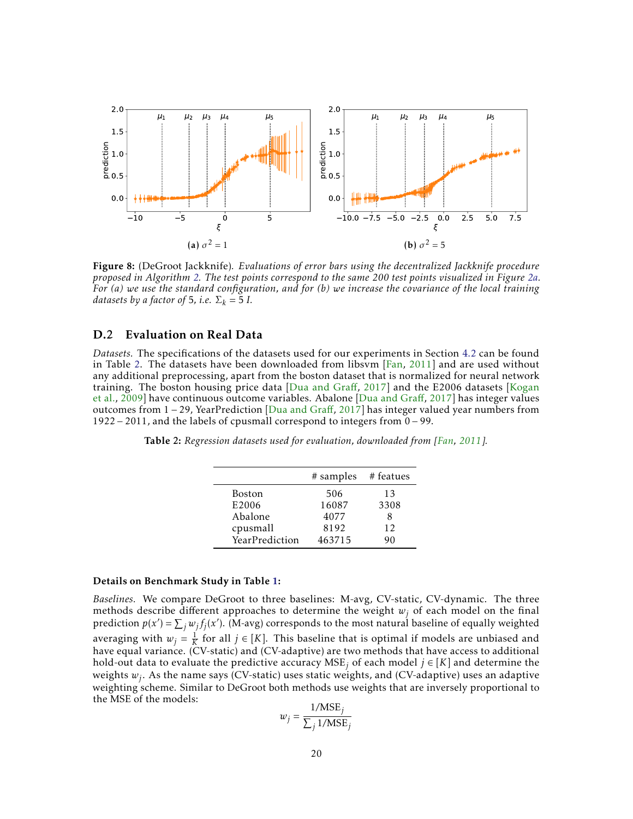<span id="page-19-1"></span>

Figure 8: (DeGroot Jackknife)*. Evaluations of error bars using the decentralized Jackknife procedure proposed in Algorithm [2.](#page-15-0) The test points correspond to the same 200 test points visualized in Figure [2a.](#page-7-2) For (a) we use the standard configuration, and for (b) we increase the covariance of the local training datasets by a factor of* 5*, i.e.*  $\Sigma_k = 5$  *I.* 

### <span id="page-19-0"></span>D.2 Evaluation on Real Data

*Datasets.* The specifications of the datasets used for our experiments in Section [4.2](#page-8-0) can be found in Table [2.](#page-19-2) The datasets have been downloaded from libsvm [\[Fan,](#page-11-16) [2011\]](#page-11-16) and are used without any additional preprocessing, apart from the boston dataset that is normalized for neural network training. The boston housing price data [\[Dua and Gra](#page-11-18)ff, [2017\]](#page-11-18) and the E2006 datasets [\[Kogan](#page-11-19) [et al.,](#page-11-19) [2009\]](#page-11-19) have continuous outcome variables. Abalone [\[Dua and Gra](#page-11-18)ff, [2017\]](#page-11-18) has integer values outcomes from 1 − 29, YearPrediction [\[Dua and Gra](#page-11-18)ff, [2017\]](#page-11-18) has integer valued year numbers from 1922 − 2011, and the labels of cpusmall correspond to integers from 0 − 99.

<span id="page-19-2"></span>Table 2: *Regression datasets used for evaluation, downloaded from [\[Fan,](#page-11-16) [2011\]](#page-11-16).*

|                | # samples # featues |      |
|----------------|---------------------|------|
| Boston         | 506                 | 13   |
| E2006          | 16087               | 3308 |
| Abalone        | 4077                | 8    |
| cpusmall       | 8192                | 12   |
| YearPrediction | 463715              | 90   |

#### Details on Benchmark Study in Table [1:](#page-9-0)

*Baselines.* We compare DeGroot to three baselines: M-avg, CV-static, CV-dynamic. The three methods describe different approaches to determine the weight  $w_i$  of each model on the final prediction  $p(x') = \sum_j w_j f_j(x')$ . (M-avg) corresponds to the most natural baseline of equally weighted averaging with  $w_j = \frac{1}{K}$  for all  $j \in [K]$ . This baseline that is optimal if models are unbiased and have equal variance. (CV-static) and (CV-adaptive) are two methods that have access to additional hold-out data to evaluate the predictive accuracy MSE*<sup>j</sup>* of each model *j* ∈ [*K*] and determine the weights *w<sup>j</sup>* . As the name says (CV-static) uses static weights, and (CV-adaptive) uses an adaptive weighting scheme. Similar to DeGroot both methods use weights that are inversely proportional to the MSE of the models: 1*/*MSE*<sup>j</sup>*

$$
w_j = \frac{1/\text{MSE}_j}{\sum_j 1/\text{MSE}_j}
$$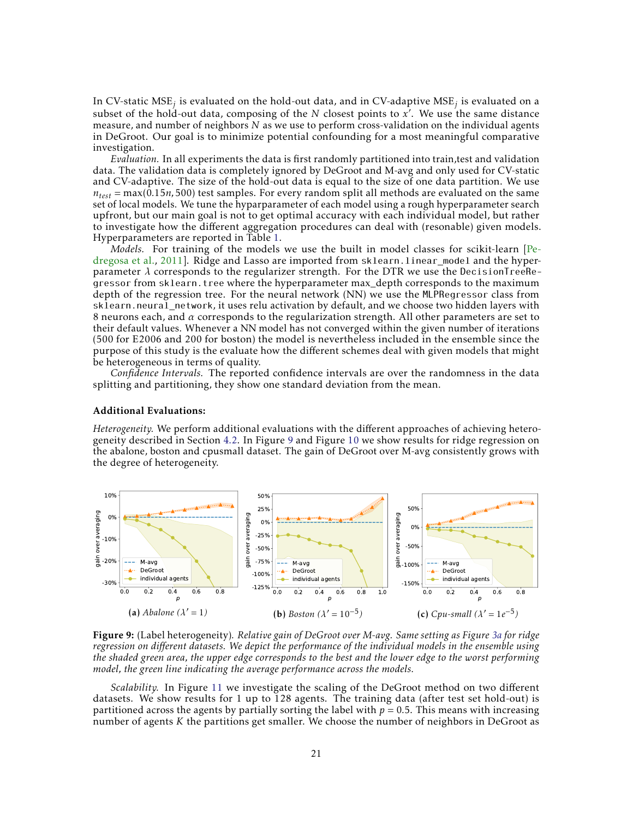In CV-static MSE*<sup>j</sup>* is evaluated on the hold-out data, and in CV-adaptive MSE*<sup>j</sup>* is evaluated on a subset of the hold-out data, composing of the *N* closest points to x'. We use the same distance measure, and number of neighbors *N* as we use to perform cross-validation on the individual agents in DeGroot. Our goal is to minimize potential confounding for a most meaningful comparative investigation.

*Evaluation.* In all experiments the data is first randomly partitioned into train,test and validation data. The validation data is completely ignored by DeGroot and M-avg and only used for CV-static and CV-adaptive. The size of the hold-out data is equal to the size of one data partition. We use  $n_{test}$  = max(0.15*n*,500) test samples. For every random split all methods are evaluated on the same set of local models. We tune the hyparparameter of each model using a rough hyperparameter search upfront, but our main goal is not to get optimal accuracy with each individual model, but rather to investigate how the different aggregation procedures can deal with (resonable) given models. Hyperparameters are reported in Table [1.](#page-9-0)

*Models.* For training of the models we use the built in model classes for scikit-learn [\[Pe](#page-12-14)[dregosa et al.,](#page-12-14) [2011\]](#page-12-14). Ridge and Lasso are imported from sklearn.linear\_model and the hyperparameter  $\lambda$  corresponds to the regularizer strength. For the DTR we use the DecisionTreeRegressor from sklearn.tree where the hyperparameter max\_depth corresponds to the maximum depth of the regression tree. For the neural network (NN) we use the MLPRegressor class from sklearn.neural\_network, it uses relu activation by default, and we choose two hidden layers with 8 neurons each, and *α* corresponds to the regularization strength. All other parameters are set to their default values. Whenever a NN model has not converged within the given number of iterations (500 for E2006 and 200 for boston) the model is nevertheless included in the ensemble since the purpose of this study is the evaluate how the different schemes deal with given models that might be heterogeneous in terms of quality.

*Confidence Intervals.* The reported confidence intervals are over the randomness in the data splitting and partitioning, they show one standard deviation from the mean.

#### Additional Evaluations:

*Heterogeneity.* We perform additional evaluations with the different approaches of achieving heterogeneity described in Section [4.2.](#page-8-0) In Figure [9](#page-20-0) and Figure [10](#page-21-0) we show results for ridge regression on the abalone, boston and cpusmall dataset. The gain of DeGroot over M-avg consistently grows with the degree of heterogeneity.

<span id="page-20-0"></span>

Figure 9: (Label heterogeneity)*. Relative gain of DeGroot over M-avg. Same setting as Figure [3a](#page-8-2) for ridge regression on different datasets. We depict the performance of the individual models in the ensemble using the shaded green area, the upper edge corresponds to the best and the lower edge to the worst performing model, the green line indicating the average performance across the models.*

*Scalability.* In Figure [11](#page-21-1) we investigate the scaling of the DeGroot method on two different datasets. We show results for 1 up to 128 agents. The training data (after test set hold-out) is partitioned across the agents by partially sorting the label with  $p = 0.5$ . This means with increasing number of agents *K* the partitions get smaller. We choose the number of neighbors in DeGroot as